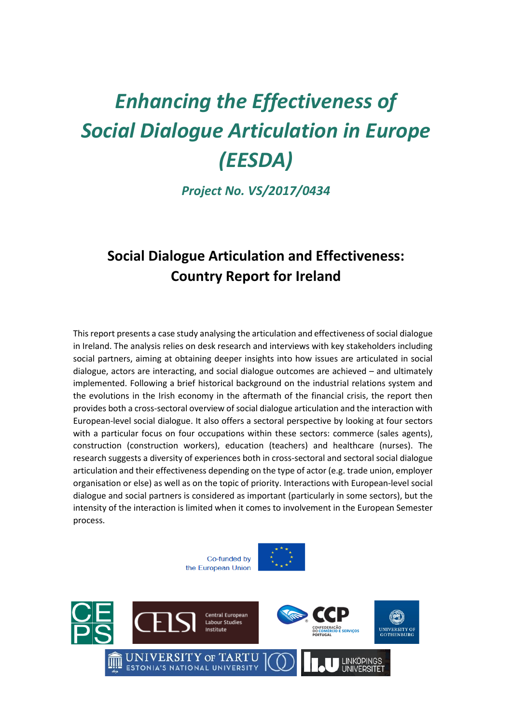# *Enhancing the Effectiveness of Social Dialogue Articulation in Europe (EESDA)*

*Project No. VS/2017/0434*

# **Social Dialogue Articulation and Effectiveness: Country Report for Ireland**

This report presents a case study analysing the articulation and effectiveness of social dialogue in Ireland. The analysis relies on desk research and interviews with key stakeholders including social partners, aiming at obtaining deeper insights into how issues are articulated in social dialogue, actors are interacting, and social dialogue outcomes are achieved – and ultimately implemented. Following a brief historical background on the industrial relations system and the evolutions in the Irish economy in the aftermath of the financial crisis, the report then provides both a cross-sectoral overview of social dialogue articulation and the interaction with European-level social dialogue. It also offers a sectoral perspective by looking at four sectors with a particular focus on four occupations within these sectors: commerce (sales agents), construction (construction workers), education (teachers) and healthcare (nurses). The research suggests a diversity of experiences both in cross-sectoral and sectoral social dialogue articulation and their effectiveness depending on the type of actor (e.g. trade union, employer organisation or else) as well as on the topic of priority. Interactions with European-level social dialogue and social partners is considered as important (particularly in some sectors), but the intensity of the interaction is limited when it comes to involvement in the European Semester process.





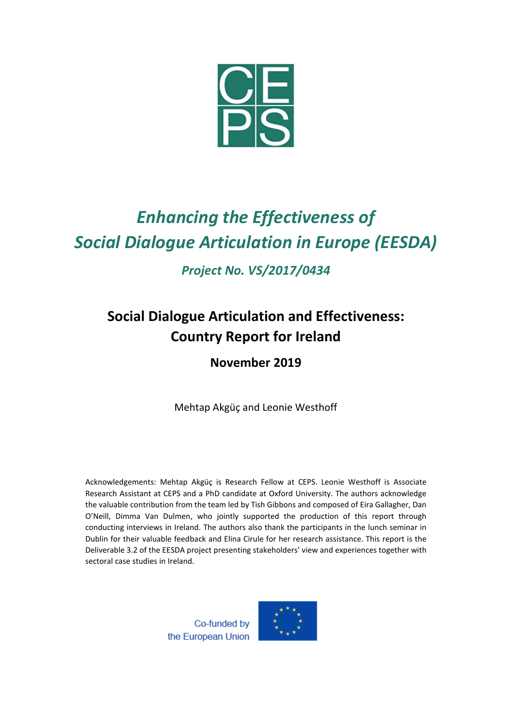

# *Enhancing the Effectiveness of Social Dialogue Articulation in Europe (EESDA)*

*Project No. VS/2017/0434*

# **Social Dialogue Articulation and Effectiveness: Country Report for Ireland**

# **November 2019**

Mehtap Akgüç and Leonie Westhoff

Acknowledgements: Mehtap Akgüç is Research Fellow at CEPS. Leonie Westhoff is Associate Research Assistant at CEPS and a PhD candidate at Oxford University. The authors acknowledge the valuable contribution from the team led by Tish Gibbons and composed of Eira Gallagher, Dan O'Neill, Dimma Van Dulmen, who jointly supported the production of this report through conducting interviews in Ireland. The authors also thank the participants in the lunch seminar in Dublin for their valuable feedback and Elina Cirule for her research assistance. This report is the Deliverable 3.2 of the EESDA project presenting stakeholders' view and experiences together with sectoral case studies in Ireland.

> Co-funded by the European Union

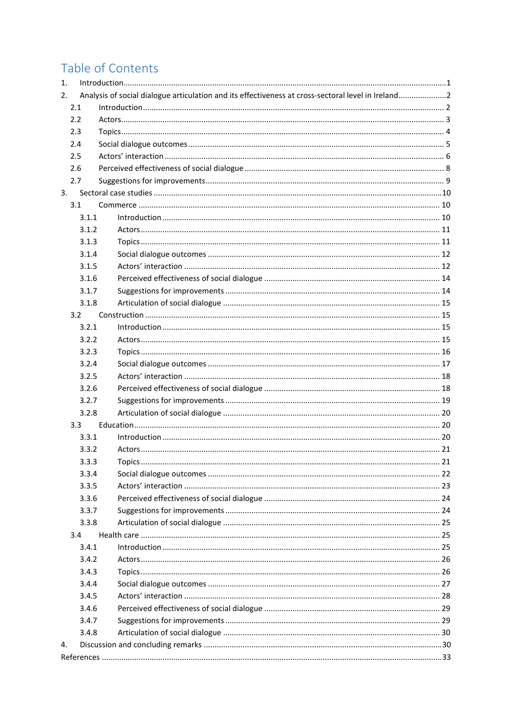# Table of Contents

| 1.  |       |                                                                                                    |  |  |
|-----|-------|----------------------------------------------------------------------------------------------------|--|--|
| 2.  |       | Analysis of social dialogue articulation and its effectiveness at cross-sectoral level in Ireland2 |  |  |
|     | 2.1   |                                                                                                    |  |  |
|     | 2.2   |                                                                                                    |  |  |
|     | 2.3   |                                                                                                    |  |  |
|     | 2.4   |                                                                                                    |  |  |
| 2.5 |       |                                                                                                    |  |  |
| 2.6 |       |                                                                                                    |  |  |
|     | 2.7   |                                                                                                    |  |  |
| 3.  |       |                                                                                                    |  |  |
|     | 3.1   |                                                                                                    |  |  |
|     | 3.1.1 |                                                                                                    |  |  |
|     | 3.1.2 |                                                                                                    |  |  |
|     | 3.1.3 |                                                                                                    |  |  |
|     | 3.1.4 |                                                                                                    |  |  |
|     | 3.1.5 |                                                                                                    |  |  |
|     | 3.1.6 |                                                                                                    |  |  |
|     | 3.1.7 |                                                                                                    |  |  |
|     | 3.1.8 |                                                                                                    |  |  |
|     | 3.2   |                                                                                                    |  |  |
|     | 3.2.1 |                                                                                                    |  |  |
|     | 3.2.2 |                                                                                                    |  |  |
|     | 3.2.3 |                                                                                                    |  |  |
|     | 3.2.4 |                                                                                                    |  |  |
|     | 3.2.5 |                                                                                                    |  |  |
|     | 3.2.6 |                                                                                                    |  |  |
|     | 3.2.7 |                                                                                                    |  |  |
|     | 3.2.8 |                                                                                                    |  |  |
|     | 3.3   |                                                                                                    |  |  |
|     | 3.3.1 |                                                                                                    |  |  |
|     | 3.3.2 |                                                                                                    |  |  |
|     | 3.3.3 | Topics.                                                                                            |  |  |
|     | 3.3.4 |                                                                                                    |  |  |
|     | 3.3.5 |                                                                                                    |  |  |
|     | 3.3.6 |                                                                                                    |  |  |
|     | 3.3.7 |                                                                                                    |  |  |
|     | 3.3.8 |                                                                                                    |  |  |
|     | 3.4   |                                                                                                    |  |  |
|     | 3.4.1 |                                                                                                    |  |  |
|     | 3.4.2 |                                                                                                    |  |  |
|     | 3.4.3 |                                                                                                    |  |  |
|     | 3.4.4 |                                                                                                    |  |  |
|     | 3.4.5 |                                                                                                    |  |  |
|     | 3.4.6 |                                                                                                    |  |  |
|     | 3.4.7 |                                                                                                    |  |  |
|     | 3.4.8 |                                                                                                    |  |  |
| 4.  |       |                                                                                                    |  |  |
|     |       |                                                                                                    |  |  |
|     |       |                                                                                                    |  |  |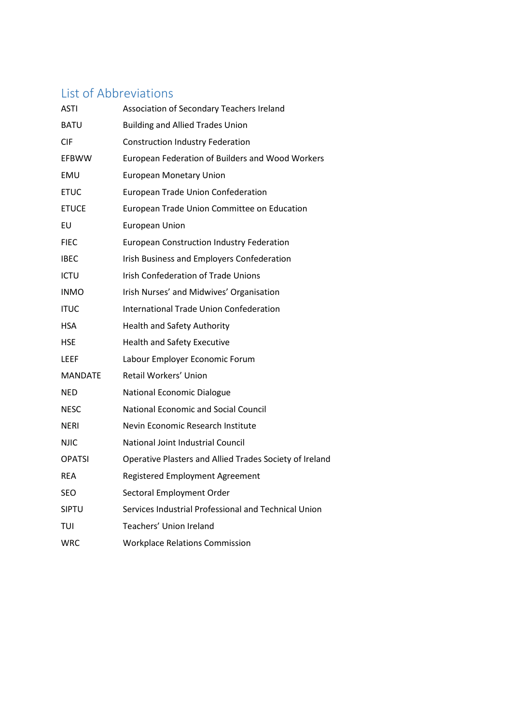# List of Abbreviations

| ASTI          | Association of Secondary Teachers Ireland               |
|---------------|---------------------------------------------------------|
| BATU          | <b>Building and Allied Trades Union</b>                 |
| CIF           | <b>Construction Industry Federation</b>                 |
| <b>EFBWW</b>  | European Federation of Builders and Wood Workers        |
| EMU           | <b>European Monetary Union</b>                          |
| <b>ETUC</b>   | <b>European Trade Union Confederation</b>               |
| <b>ETUCE</b>  | European Trade Union Committee on Education             |
| EU            | <b>European Union</b>                                   |
| <b>FIEC</b>   | <b>European Construction Industry Federation</b>        |
| <b>IBEC</b>   | Irish Business and Employers Confederation              |
| ICTU          | <b>Irish Confederation of Trade Unions</b>              |
| INMO          | Irish Nurses' and Midwives' Organisation                |
| ITUC          | International Trade Union Confederation                 |
| HSA           | <b>Health and Safety Authority</b>                      |
| HSE           | <b>Health and Safety Executive</b>                      |
| LEEF          | Labour Employer Economic Forum                          |
| MANDATE       | Retail Workers' Union                                   |
| NED           | <b>National Economic Dialogue</b>                       |
| NESC          | <b>National Economic and Social Council</b>             |
| <b>NERI</b>   | Nevin Economic Research Institute                       |
| <b>NJIC</b>   | National Joint Industrial Council                       |
| <b>OPATSI</b> | Operative Plasters and Allied Trades Society of Ireland |
| <b>REA</b>    | Registered Employment Agreement                         |
| SEO           | Sectoral Employment Order                               |
| <b>SIPTU</b>  | Services Industrial Professional and Technical Union    |
| TUI           | Teachers' Union Ireland                                 |
| <b>WRC</b>    | <b>Workplace Relations Commission</b>                   |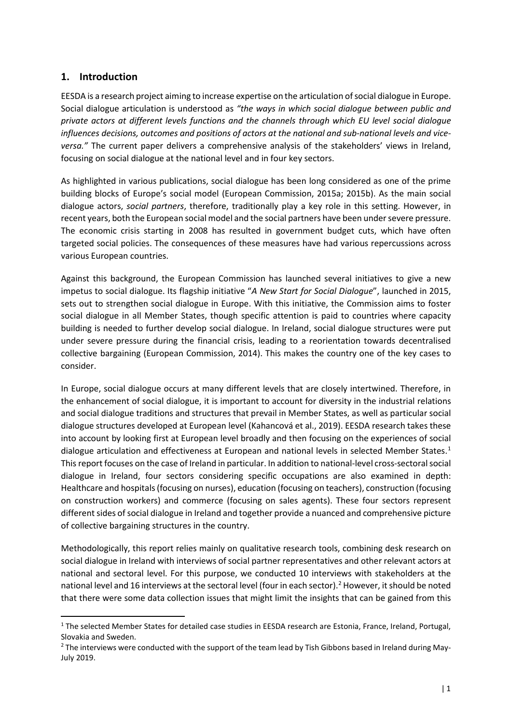# <span id="page-4-0"></span>**1. Introduction**

EESDA is a research project aiming to increase expertise on the articulation of social dialogue in Europe. Social dialogue articulation is understood as *"the ways in which social dialogue between public and private actors at different levels functions and the channels through which EU level social dialogue influences decisions, outcomes and positions of actors at the national and sub-national levels and viceversa."* The current paper delivers a comprehensive analysis of the stakeholders' views in Ireland, focusing on social dialogue at the national level and in four key sectors.

As highlighted in various publications, social dialogue has been long considered as one of the prime building blocks of Europe's social model (European Commission, 2015a; 2015b). As the main social dialogue actors, *social partners*, therefore, traditionally play a key role in this setting. However, in recent years, both the European social model and the social partners have been under severe pressure. The economic crisis starting in 2008 has resulted in government budget cuts, which have often targeted social policies. The consequences of these measures have had various repercussions across various European countries.

Against this background, the European Commission has launched several initiatives to give a new impetus to social dialogue. Its flagship initiative "*A New Start for Social Dialogue*", launched in 2015, sets out to strengthen social dialogue in Europe. With this initiative, the Commission aims to foster social dialogue in all Member States, though specific attention is paid to countries where capacity building is needed to further develop social dialogue. In Ireland, social dialogue structures were put under severe pressure during the financial crisis, leading to a reorientation towards decentralised collective bargaining (European Commission, 2014). This makes the country one of the key cases to consider.

In Europe, social dialogue occurs at many different levels that are closely intertwined. Therefore, in the enhancement of social dialogue, it is important to account for diversity in the industrial relations and social dialogue traditions and structures that prevail in Member States, as well as particular social dialogue structures developed at European level (Kahancová et al., 2019). EESDA research takes these into account by looking first at European level broadly and then focusing on the experiences of social dialogue articulation and effectiveness at European and national levels in selected Member States. [1](#page-4-1) This report focuses on the case of Ireland in particular. In addition to national-level cross-sectoral social dialogue in Ireland, four sectors considering specific occupations are also examined in depth: Healthcare and hospitals (focusing on nurses), education (focusing on teachers), construction (focusing on construction workers) and commerce (focusing on sales agents). These four sectors represent different sides of social dialogue in Ireland and together provide a nuanced and comprehensive picture of collective bargaining structures in the country.

Methodologically, this report relies mainly on qualitative research tools, combining desk research on social dialogue in Ireland with interviews of social partner representatives and other relevant actors at national and sectoral level. For this purpose, we conducted 10 interviews with stakeholders at the national level and 16 interviews at the sectoral level (four in each sector). [2](#page-4-2) However, it should be noted that there were some data collection issues that might limit the insights that can be gained from this

<span id="page-4-1"></span><sup>&</sup>lt;sup>1</sup> The selected Member States for detailed case studies in EESDA research are Estonia, France, Ireland, Portugal, Slovakia and Sweden.

<span id="page-4-2"></span><sup>&</sup>lt;sup>2</sup> The interviews were conducted with the support of the team lead by Tish Gibbons based in Ireland during May-July 2019.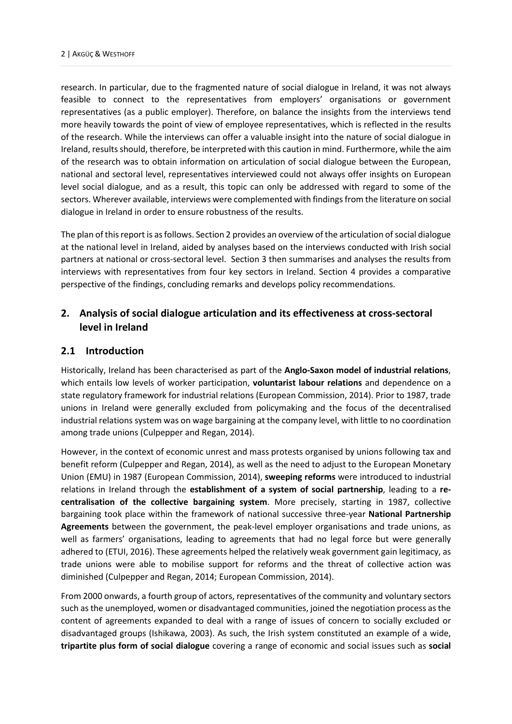research. In particular, due to the fragmented nature of social dialogue in Ireland, it was not always feasible to connect to the representatives from employers' organisations or government representatives (as a public employer). Therefore, on balance the insights from the interviews tend more heavily towards the point of view of employee representatives, which is reflected in the results of the research. While the interviews can offer a valuable insight into the nature of social dialogue in Ireland, results should, therefore, be interpreted with this caution in mind. Furthermore, while the aim of the research was to obtain information on articulation of social dialogue between the European, national and sectoral level, representatives interviewed could not always offer insights on European level social dialogue, and as a result, this topic can only be addressed with regard to some of the sectors. Wherever available, interviews were complemented with findings from the literature on social dialogue in Ireland in order to ensure robustness of the results.

The plan of this report is as follows. Section 2 provides an overview of the articulation of social dialogue at the national level in Ireland, aided by analyses based on the interviews conducted with Irish social partners at national or cross-sectoral level. Section 3 then summarises and analyses the results from interviews with representatives from four key sectors in Ireland. Section 4 provides a comparative perspective of the findings, concluding remarks and develops policy recommendations.

# <span id="page-5-0"></span>**2. Analysis of social dialogue articulation and its effectiveness at cross-sectoral level in Ireland**

# <span id="page-5-1"></span>**2.1 Introduction**

Historically, Ireland has been characterised as part of the **Anglo-Saxon model of industrial relations**, which entails low levels of worker participation, **voluntarist labour relations** and dependence on a state regulatory framework for industrial relations (European Commission, 2014). Prior to 1987, trade unions in Ireland were generally excluded from policymaking and the focus of the decentralised industrial relations system was on wage bargaining at the company level, with little to no coordination among trade unions (Culpepper and Regan, 2014).

However, in the context of economic unrest and mass protests organised by unions following tax and benefit reform (Culpepper and Regan, 2014), as well as the need to adjust to the European Monetary Union (EMU) in 1987 (European Commission, 2014), **sweeping reforms** were introduced to industrial relations in Ireland through the **establishment of a system of social partnership**, leading to a **recentralisation of the collective bargaining system**. More precisely, starting in 1987, collective bargaining took place within the framework of national successive three-year **National Partnership Agreements** between the government, the peak-level employer organisations and trade unions, as well as farmers' organisations, leading to agreements that had no legal force but were generally adhered to (ETUI, 2016). These agreements helped the relatively weak government gain legitimacy, as trade unions were able to mobilise support for reforms and the threat of collective action was diminished (Culpepper and Regan, 2014; European Commission, 2014).

From 2000 onwards, a fourth group of actors, representatives of the community and voluntary sectors such as the unemployed, women or disadvantaged communities, joined the negotiation process as the content of agreements expanded to deal with a range of issues of concern to socially excluded or disadvantaged groups (Ishikawa, 2003). As such, the Irish system constituted an example of a wide, **tripartite plus form of social dialogue** covering a range of economic and social issues such as **social**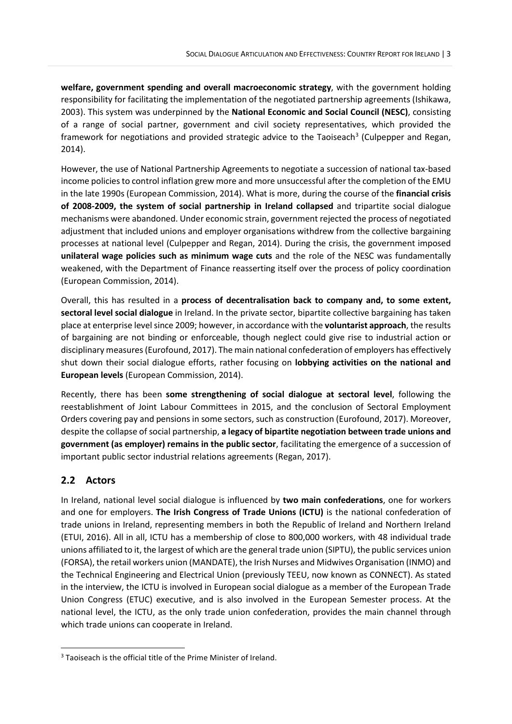**welfare, government spending and overall macroeconomic strategy**, with the government holding responsibility for facilitating the implementation of the negotiated partnership agreements (Ishikawa, 2003). This system was underpinned by the **National Economic and Social Council (NESC)**, consisting of a range of social partner, government and civil society representatives, which provided the framework for negotiations and provided strategic advice to the Taoiseach<sup>[3](#page-6-1)</sup> (Culpepper and Regan, 2014).

However, the use of National Partnership Agreements to negotiate a succession of national tax-based income policies to control inflation grew more and more unsuccessful after the completion of the EMU in the late 1990s (European Commission, 2014). What is more, during the course of the **financial crisis of 2008-2009, the system of social partnership in Ireland collapsed** and tripartite social dialogue mechanisms were abandoned. Under economic strain, government rejected the process of negotiated adjustment that included unions and employer organisations withdrew from the collective bargaining processes at national level (Culpepper and Regan, 2014). During the crisis, the government imposed **unilateral wage policies such as minimum wage cuts** and the role of the NESC was fundamentally weakened, with the Department of Finance reasserting itself over the process of policy coordination (European Commission, 2014).

Overall, this has resulted in a **process of decentralisation back to company and, to some extent, sectoral level social dialogue** in Ireland. In the private sector, bipartite collective bargaining has taken place at enterprise level since 2009; however, in accordance with the **voluntarist approach**, the results of bargaining are not binding or enforceable, though neglect could give rise to industrial action or disciplinary measures (Eurofound, 2017). The main national confederation of employers has effectively shut down their social dialogue efforts, rather focusing on **lobbying activities on the national and European levels** (European Commission, 2014).

Recently, there has been **some strengthening of social dialogue at sectoral level**, following the reestablishment of Joint Labour Committees in 2015, and the conclusion of Sectoral Employment Orders covering pay and pensions in some sectors, such as construction (Eurofound, 2017). Moreover, despite the collapse of social partnership, **a legacy of bipartite negotiation between trade unions and government (as employer) remains in the public sector**, facilitating the emergence of a succession of important public sector industrial relations agreements (Regan, 2017).

# <span id="page-6-0"></span>**2.2 Actors**

In Ireland, national level social dialogue is influenced by **two main confederations**, one for workers and one for employers. **The Irish Congress of Trade Unions (ICTU)** is the national confederation of trade unions in Ireland, representing members in both the Republic of Ireland and Northern Ireland (ETUI, 2016). All in all, ICTU has a membership of close to 800,000 workers, with 48 individual trade unions affiliated to it, the largest of which are the general trade union (SIPTU), the public services union (FORSA), the retail workers union (MANDATE), the Irish Nurses and Midwives Organisation (INMO) and the Technical Engineering and Electrical Union (previously TEEU, now known as CONNECT). As stated in the interview, the ICTU is involved in European social dialogue as a member of the European Trade Union Congress (ETUC) executive, and is also involved in the European Semester process. At the national level, the ICTU, as the only trade union confederation, provides the main channel through which trade unions can cooperate in Ireland.

<span id="page-6-1"></span><sup>&</sup>lt;sup>3</sup> Taoiseach is the official title of the Prime Minister of Ireland.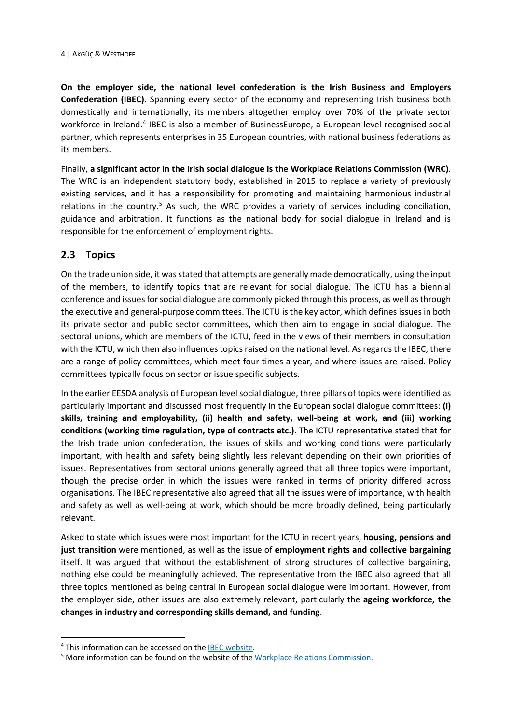**On the employer side, the national level confederation is the Irish Business and Employers Confederation (IBEC)**. Spanning every sector of the economy and representing Irish business both domestically and internationally, its members altogether employ over 70% of the private sector workforce in Ireland. [4](#page-7-1) IBEC is also a member of BusinessEurope, a European level recognised social partner, which represents enterprises in 35 European countries, with national business federations as its members.

Finally, **a significant actor in the Irish social dialogue is the Workplace Relations Commission (WRC)**. The WRC is an independent statutory body, established in 2015 to replace a variety of previously existing services, and it has a responsibility for promoting and maintaining harmonious industrial relations in the country.<sup>[5](#page-7-2)</sup> As such, the WRC provides a variety of services including conciliation, guidance and arbitration. It functions as the national body for social dialogue in Ireland and is responsible for the enforcement of employment rights.

# <span id="page-7-0"></span>**2.3 Topics**

On the trade union side, it was stated that attempts are generally made democratically, using the input of the members, to identify topics that are relevant for social dialogue. The ICTU has a biennial conference and issues for social dialogue are commonly picked through this process, as well as through the executive and general-purpose committees. The ICTU is the key actor, which defines issues in both its private sector and public sector committees, which then aim to engage in social dialogue. The sectoral unions, which are members of the ICTU, feed in the views of their members in consultation with the ICTU, which then also influences topics raised on the national level. As regards the IBEC, there are a range of policy committees, which meet four times a year, and where issues are raised. Policy committees typically focus on sector or issue specific subjects.

In the earlier EESDA analysis of European level social dialogue, three pillars of topics were identified as particularly important and discussed most frequently in the European social dialogue committees: **(i) skills, training and employability, (ii) health and safety, well-being at work, and (iii) working conditions (working time regulation, type of contracts etc.)**. The ICTU representative stated that for the Irish trade union confederation, the issues of skills and working conditions were particularly important, with health and safety being slightly less relevant depending on their own priorities of issues. Representatives from sectoral unions generally agreed that all three topics were important, though the precise order in which the issues were ranked in terms of priority differed across organisations. The IBEC representative also agreed that all the issues were of importance, with health and safety as well as well-being at work, which should be more broadly defined, being particularly relevant.

Asked to state which issues were most important for the ICTU in recent years, **housing, pensions and just transition** were mentioned, as well as the issue of **employment rights and collective bargaining** itself. It was argued that without the establishment of strong structures of collective bargaining, nothing else could be meaningfully achieved. The representative from the IBEC also agreed that all three topics mentioned as being central in European social dialogue were important. However, from the employer side, other issues are also extremely relevant, particularly the **ageing workforce, the changes in industry and corresponding skills demand, and funding**.

<span id="page-7-1"></span><sup>&</sup>lt;sup>4</sup> This information can be accessed on the **IBEC** website.

<span id="page-7-2"></span><sup>&</sup>lt;sup>5</sup> More information can be found on the website of the [Workplace Relations Commission.](https://www.workplacerelations.ie/en/)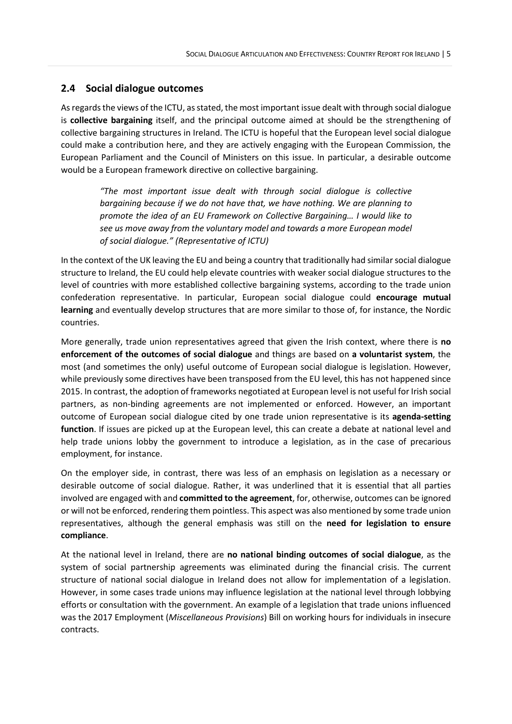# <span id="page-8-0"></span>**2.4 Social dialogue outcomes**

As regards the views of the ICTU, as stated, the most important issue dealt with through social dialogue is **collective bargaining** itself, and the principal outcome aimed at should be the strengthening of collective bargaining structures in Ireland. The ICTU is hopeful that the European level social dialogue could make a contribution here, and they are actively engaging with the European Commission, the European Parliament and the Council of Ministers on this issue. In particular, a desirable outcome would be a European framework directive on collective bargaining.

*"The most important issue dealt with through social dialogue is collective bargaining because if we do not have that, we have nothing. We are planning to promote the idea of an EU Framework on Collective Bargaining… I would like to see us move away from the voluntary model and towards a more European model of social dialogue." (Representative of ICTU)*

In the context of the UK leaving the EU and being a country that traditionally had similar social dialogue structure to Ireland, the EU could help elevate countries with weaker social dialogue structures to the level of countries with more established collective bargaining systems, according to the trade union confederation representative. In particular, European social dialogue could **encourage mutual learning** and eventually develop structures that are more similar to those of, for instance, the Nordic countries.

More generally, trade union representatives agreed that given the Irish context, where there is **no enforcement of the outcomes of social dialogue** and things are based on **a voluntarist system**, the most (and sometimes the only) useful outcome of European social dialogue is legislation. However, while previously some directives have been transposed from the EU level, this has not happened since 2015. In contrast, the adoption of frameworks negotiated at European level is not useful for Irish social partners, as non-binding agreements are not implemented or enforced. However, an important outcome of European social dialogue cited by one trade union representative is its **agenda-setting function**. If issues are picked up at the European level, this can create a debate at national level and help trade unions lobby the government to introduce a legislation, as in the case of precarious employment, for instance.

On the employer side, in contrast, there was less of an emphasis on legislation as a necessary or desirable outcome of social dialogue. Rather, it was underlined that it is essential that all parties involved are engaged with and **committed to the agreement**, for, otherwise, outcomes can be ignored or will not be enforced, rendering them pointless. This aspect was also mentioned by some trade union representatives, although the general emphasis was still on the **need for legislation to ensure compliance**.

At the national level in Ireland, there are **no national binding outcomes of social dialogue**, as the system of social partnership agreements was eliminated during the financial crisis. The current structure of national social dialogue in Ireland does not allow for implementation of a legislation. However, in some cases trade unions may influence legislation at the national level through lobbying efforts or consultation with the government. An example of a legislation that trade unions influenced was the 2017 Employment (*Miscellaneous Provisions*) Bill on working hours for individuals in insecure contracts.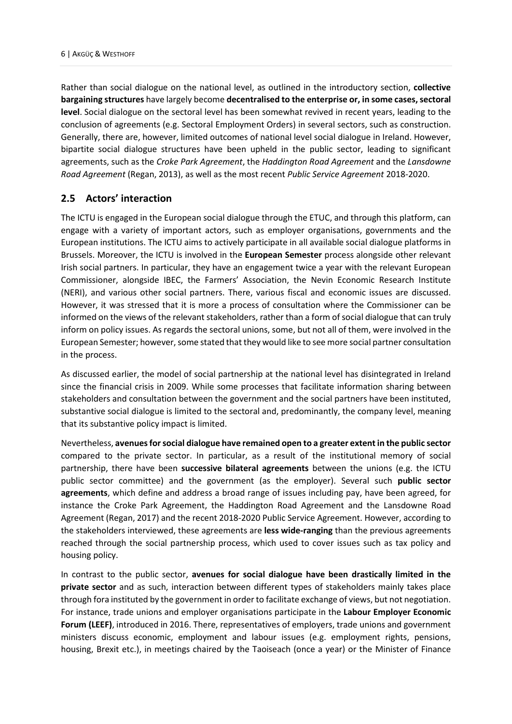Rather than social dialogue on the national level, as outlined in the introductory section, **collective bargaining structures** have largely become **decentralised to the enterprise or, in some cases, sectoral level**. Social dialogue on the sectoral level has been somewhat revived in recent years, leading to the conclusion of agreements (e.g. Sectoral Employment Orders) in several sectors, such as construction. Generally, there are, however, limited outcomes of national level social dialogue in Ireland. However, bipartite social dialogue structures have been upheld in the public sector, leading to significant agreements, such as the *Croke Park Agreement*, the *Haddington Road Agreement* and the *Lansdowne Road Agreement* (Regan, 2013), as well as the most recent *Public Service Agreement* 2018-2020.

# <span id="page-9-0"></span>**2.5 Actors' interaction**

The ICTU is engaged in the European social dialogue through the ETUC, and through this platform, can engage with a variety of important actors, such as employer organisations, governments and the European institutions. The ICTU aims to actively participate in all available social dialogue platforms in Brussels. Moreover, the ICTU is involved in the **European Semester** process alongside other relevant Irish social partners. In particular, they have an engagement twice a year with the relevant European Commissioner, alongside IBEC, the Farmers' Association, the Nevin Economic Research Institute (NERI), and various other social partners. There, various fiscal and economic issues are discussed. However, it was stressed that it is more a process of consultation where the Commissioner can be informed on the views of the relevant stakeholders, rather than a form of social dialogue that can truly inform on policy issues. As regards the sectoral unions, some, but not all of them, were involved in the European Semester; however, some stated that they would like to see more social partner consultation in the process.

As discussed earlier, the model of social partnership at the national level has disintegrated in Ireland since the financial crisis in 2009. While some processes that facilitate information sharing between stakeholders and consultation between the government and the social partners have been instituted, substantive social dialogue is limited to the sectoral and, predominantly, the company level, meaning that its substantive policy impact is limited.

Nevertheless, **avenues for social dialogue have remained open to a greater extent in the public sector** compared to the private sector. In particular, as a result of the institutional memory of social partnership, there have been **successive bilateral agreements** between the unions (e.g. the ICTU public sector committee) and the government (as the employer). Several such **public sector agreements**, which define and address a broad range of issues including pay, have been agreed, for instance the Croke Park Agreement, the Haddington Road Agreement and the Lansdowne Road Agreement (Regan, 2017) and the recent 2018-2020 Public Service Agreement. However, according to the stakeholders interviewed, these agreements are **less wide-ranging** than the previous agreements reached through the social partnership process, which used to cover issues such as tax policy and housing policy.

In contrast to the public sector, **avenues for social dialogue have been drastically limited in the private sector** and as such, interaction between different types of stakeholders mainly takes place through fora instituted by the government in order to facilitate exchange of views, but not negotiation. For instance, trade unions and employer organisations participate in the **Labour Employer Economic Forum (LEEF)**, introduced in 2016. There, representatives of employers, trade unions and government ministers discuss economic, employment and labour issues (e.g. employment rights, pensions, housing, Brexit etc.), in meetings chaired by the Taoiseach (once a year) or the Minister of Finance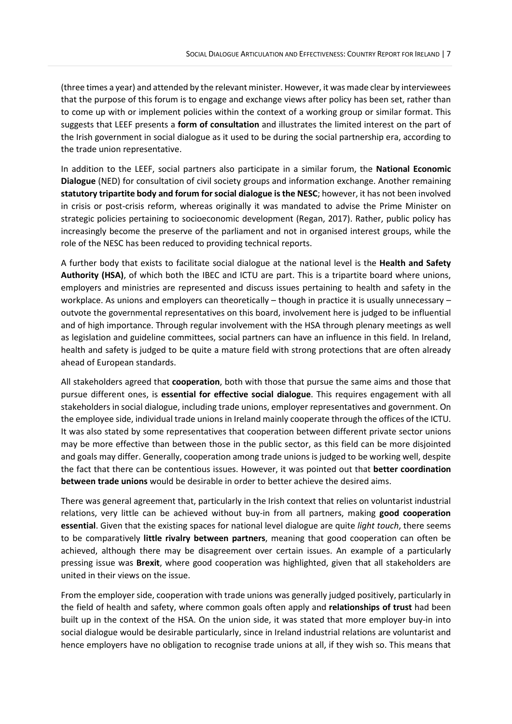(three times a year) and attended by the relevant minister. However, it was made clear by interviewees that the purpose of this forum is to engage and exchange views after policy has been set, rather than to come up with or implement policies within the context of a working group or similar format. This suggests that LEEF presents a **form of consultation** and illustrates the limited interest on the part of the Irish government in social dialogue as it used to be during the social partnership era, according to the trade union representative.

In addition to the LEEF, social partners also participate in a similar forum, the **National Economic Dialogue** (NED) for consultation of civil society groups and information exchange. Another remaining **statutory tripartite body and forum for social dialogue is the NESC**; however, it has not been involved in crisis or post-crisis reform, whereas originally it was mandated to advise the Prime Minister on strategic policies pertaining to socioeconomic development (Regan, 2017). Rather, public policy has increasingly become the preserve of the parliament and not in organised interest groups, while the role of the NESC has been reduced to providing technical reports.

A further body that exists to facilitate social dialogue at the national level is the **Health and Safety Authority (HSA)**, of which both the IBEC and ICTU are part. This is a tripartite board where unions, employers and ministries are represented and discuss issues pertaining to health and safety in the workplace. As unions and employers can theoretically – though in practice it is usually unnecessary – outvote the governmental representatives on this board, involvement here is judged to be influential and of high importance. Through regular involvement with the HSA through plenary meetings as well as legislation and guideline committees, social partners can have an influence in this field. In Ireland, health and safety is judged to be quite a mature field with strong protections that are often already ahead of European standards.

All stakeholders agreed that **cooperation**, both with those that pursue the same aims and those that pursue different ones, is **essential for effective social dialogue**. This requires engagement with all stakeholders in social dialogue, including trade unions, employer representatives and government. On the employee side, individual trade unions in Ireland mainly cooperate through the offices of the ICTU. It was also stated by some representatives that cooperation between different private sector unions may be more effective than between those in the public sector, as this field can be more disjointed and goals may differ. Generally, cooperation among trade unions is judged to be working well, despite the fact that there can be contentious issues. However, it was pointed out that **better coordination between trade unions** would be desirable in order to better achieve the desired aims.

There was general agreement that, particularly in the Irish context that relies on voluntarist industrial relations, very little can be achieved without buy-in from all partners, making **good cooperation essential**. Given that the existing spaces for national level dialogue are quite *light touch*, there seems to be comparatively **little rivalry between partners**, meaning that good cooperation can often be achieved, although there may be disagreement over certain issues. An example of a particularly pressing issue was **Brexit**, where good cooperation was highlighted, given that all stakeholders are united in their views on the issue.

From the employer side, cooperation with trade unions was generally judged positively, particularly in the field of health and safety, where common goals often apply and **relationships of trust** had been built up in the context of the HSA. On the union side, it was stated that more employer buy-in into social dialogue would be desirable particularly, since in Ireland industrial relations are voluntarist and hence employers have no obligation to recognise trade unions at all, if they wish so. This means that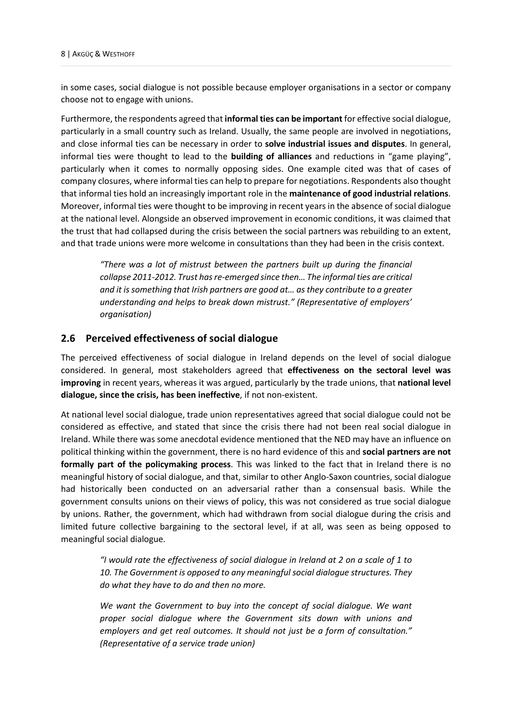in some cases, social dialogue is not possible because employer organisations in a sector or company choose not to engage with unions.

Furthermore, the respondents agreed that **informal ties can be important** for effective social dialogue, particularly in a small country such as Ireland. Usually, the same people are involved in negotiations, and close informal ties can be necessary in order to **solve industrial issues and disputes**. In general, informal ties were thought to lead to the **building of alliances** and reductions in "game playing", particularly when it comes to normally opposing sides. One example cited was that of cases of company closures, where informal ties can help to prepare for negotiations. Respondents also thought that informal ties hold an increasingly important role in the **maintenance of good industrial relations**. Moreover, informal ties were thought to be improving in recent years in the absence of social dialogue at the national level. Alongside an observed improvement in economic conditions, it was claimed that the trust that had collapsed during the crisis between the social partners was rebuilding to an extent, and that trade unions were more welcome in consultations than they had been in the crisis context.

*"There was a lot of mistrust between the partners built up during the financial collapse 2011-2012. Trust has re-emerged since then… The informal ties are critical and it is something that Irish partners are good at… as they contribute to a greater understanding and helps to break down mistrust." (Representative of employers' organisation)* 

#### <span id="page-11-0"></span>**2.6 Perceived effectiveness of social dialogue**

The perceived effectiveness of social dialogue in Ireland depends on the level of social dialogue considered. In general, most stakeholders agreed that **effectiveness on the sectoral level was improving** in recent years, whereas it was argued, particularly by the trade unions, that **national level dialogue, since the crisis, has been ineffective**, if not non-existent.

At national level social dialogue, trade union representatives agreed that social dialogue could not be considered as effective, and stated that since the crisis there had not been real social dialogue in Ireland. While there was some anecdotal evidence mentioned that the NED may have an influence on political thinking within the government, there is no hard evidence of this and **social partners are not formally part of the policymaking process**. This was linked to the fact that in Ireland there is no meaningful history of social dialogue, and that, similar to other Anglo-Saxon countries, social dialogue had historically been conducted on an adversarial rather than a consensual basis. While the government consults unions on their views of policy, this was not considered as true social dialogue by unions. Rather, the government, which had withdrawn from social dialogue during the crisis and limited future collective bargaining to the sectoral level, if at all, was seen as being opposed to meaningful social dialogue.

*"I would rate the effectiveness of social dialogue in Ireland at 2 on a scale of 1 to 10. The Government is opposed to any meaningfulsocial dialogue structures. They do what they have to do and then no more.* 

*We want the Government to buy into the concept of social dialogue. We want proper social dialogue where the Government sits down with unions and employers and get real outcomes. It should not just be a form of consultation." (Representative of a service trade union)*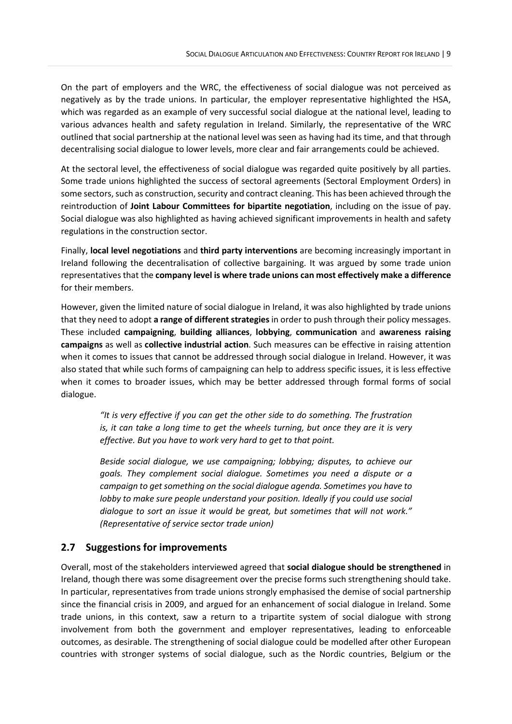On the part of employers and the WRC, the effectiveness of social dialogue was not perceived as negatively as by the trade unions. In particular, the employer representative highlighted the HSA, which was regarded as an example of very successful social dialogue at the national level, leading to various advances health and safety regulation in Ireland. Similarly, the representative of the WRC outlined that social partnership at the national level was seen as having had its time, and that through decentralising social dialogue to lower levels, more clear and fair arrangements could be achieved.

At the sectoral level, the effectiveness of social dialogue was regarded quite positively by all parties. Some trade unions highlighted the success of sectoral agreements (Sectoral Employment Orders) in some sectors, such as construction, security and contract cleaning. This has been achieved through the reintroduction of **Joint Labour Committees for bipartite negotiation**, including on the issue of pay. Social dialogue was also highlighted as having achieved significant improvements in health and safety regulations in the construction sector.

Finally, **local level negotiations** and **third party interventions** are becoming increasingly important in Ireland following the decentralisation of collective bargaining. It was argued by some trade union representatives that the **company level is where trade unions can most effectively make a difference** for their members.

However, given the limited nature of social dialogue in Ireland, it was also highlighted by trade unions that they need to adopt **a range of different strategies** in order to push through their policy messages. These included **campaigning**, **building alliances**, **lobbying**, **communication** and **awareness raising campaigns** as well as **collective industrial action**. Such measures can be effective in raising attention when it comes to issues that cannot be addressed through social dialogue in Ireland. However, it was also stated that while such forms of campaigning can help to address specific issues, it is less effective when it comes to broader issues, which may be better addressed through formal forms of social dialogue.

*"It is very effective if you can get the other side to do something. The frustration is, it can take a long time to get the wheels turning, but once they are it is very effective. But you have to work very hard to get to that point.* 

*Beside social dialogue, we use campaigning; lobbying; disputes, to achieve our goals. They complement social dialogue. Sometimes you need a dispute or a campaign to get something on the social dialogue agenda. Sometimes you have to lobby to make sure people understand your position. Ideally if you could use social dialogue to sort an issue it would be great, but sometimes that will not work." (Representative of service sector trade union)*

# <span id="page-12-0"></span>**2.7 Suggestions for improvements**

Overall, most of the stakeholders interviewed agreed that **social dialogue should be strengthened** in Ireland, though there was some disagreement over the precise forms such strengthening should take. In particular, representatives from trade unions strongly emphasised the demise of social partnership since the financial crisis in 2009, and argued for an enhancement of social dialogue in Ireland. Some trade unions, in this context, saw a return to a tripartite system of social dialogue with strong involvement from both the government and employer representatives, leading to enforceable outcomes, as desirable. The strengthening of social dialogue could be modelled after other European countries with stronger systems of social dialogue, such as the Nordic countries, Belgium or the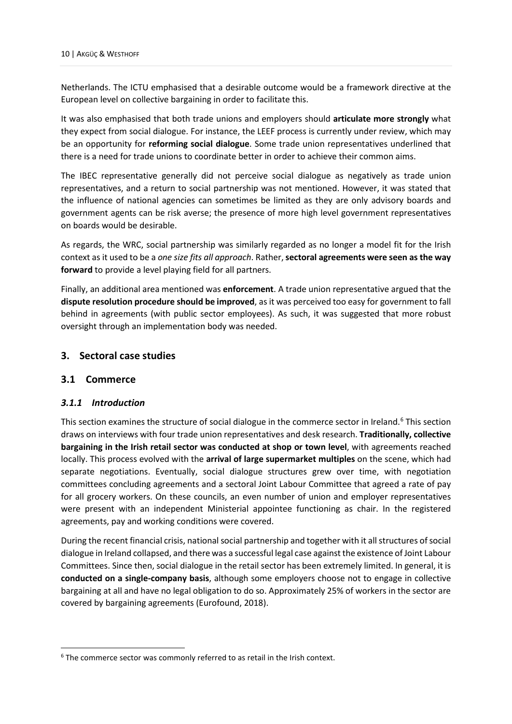Netherlands. The ICTU emphasised that a desirable outcome would be a framework directive at the European level on collective bargaining in order to facilitate this.

It was also emphasised that both trade unions and employers should **articulate more strongly** what they expect from social dialogue. For instance, the LEEF process is currently under review, which may be an opportunity for **reforming social dialogue**. Some trade union representatives underlined that there is a need for trade unions to coordinate better in order to achieve their common aims.

The IBEC representative generally did not perceive social dialogue as negatively as trade union representatives, and a return to social partnership was not mentioned. However, it was stated that the influence of national agencies can sometimes be limited as they are only advisory boards and government agents can be risk averse; the presence of more high level government representatives on boards would be desirable.

As regards, the WRC, social partnership was similarly regarded as no longer a model fit for the Irish context as it used to be a *one size fits all approach*. Rather, **sectoral agreements were seen as the way forward** to provide a level playing field for all partners.

Finally, an additional area mentioned was **enforcement**. A trade union representative argued that the **dispute resolution procedure should be improved**, as it was perceived too easy for government to fall behind in agreements (with public sector employees). As such, it was suggested that more robust oversight through an implementation body was needed.

# <span id="page-13-0"></span>**3. Sectoral case studies**

# <span id="page-13-1"></span>**3.1 Commerce**

#### <span id="page-13-2"></span>*3.1.1 Introduction*

This section examines the structure of social dialogue in the commerce sector in Ireland. [6](#page-13-3) This section draws on interviews with four trade union representatives and desk research. **Traditionally, collective bargaining in the Irish retail sector was conducted at shop or town level**, with agreements reached locally. This process evolved with the **arrival of large supermarket multiples** on the scene, which had separate negotiations. Eventually, social dialogue structures grew over time, with negotiation committees concluding agreements and a sectoral Joint Labour Committee that agreed a rate of pay for all grocery workers. On these councils, an even number of union and employer representatives were present with an independent Ministerial appointee functioning as chair. In the registered agreements, pay and working conditions were covered.

During the recent financial crisis, national social partnership and together with it all structures of social dialogue in Ireland collapsed, and there was a successful legal case against the existence of Joint Labour Committees. Since then, social dialogue in the retail sector has been extremely limited. In general, it is **conducted on a single-company basis**, although some employers choose not to engage in collective bargaining at all and have no legal obligation to do so. Approximately 25% of workers in the sector are covered by bargaining agreements (Eurofound, 2018).

<span id="page-13-3"></span><sup>&</sup>lt;sup>6</sup> The commerce sector was commonly referred to as retail in the Irish context.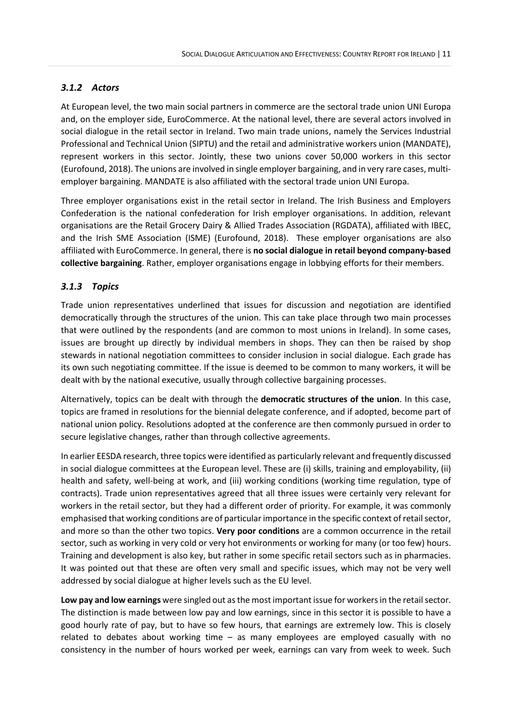# <span id="page-14-0"></span>*3.1.2 Actors*

At European level, the two main social partners in commerce are the sectoral trade union UNI Europa and, on the employer side, EuroCommerce. At the national level, there are several actors involved in social dialogue in the retail sector in Ireland. Two main trade unions, namely the Services Industrial Professional and Technical Union (SIPTU) and the retail and administrative workers union (MANDATE), represent workers in this sector. Jointly, these two unions cover 50,000 workers in this sector (Eurofound, 2018). The unions are involved in single employer bargaining, and in very rare cases, multiemployer bargaining. MANDATE is also affiliated with the sectoral trade union UNI Europa.

Three employer organisations exist in the retail sector in Ireland. The Irish Business and Employers Confederation is the national confederation for Irish employer organisations. In addition, relevant organisations are the Retail Grocery Dairy & Allied Trades Association (RGDATA), affiliated with IBEC, and the Irish SME Association (ISME) (Eurofound, 2018). These employer organisations are also affiliated with EuroCommerce. In general, there is **no social dialogue in retail beyond company-based collective bargaining**. Rather, employer organisations engage in lobbying efforts for their members.

# <span id="page-14-1"></span>*3.1.3 Topics*

Trade union representatives underlined that issues for discussion and negotiation are identified democratically through the structures of the union. This can take place through two main processes that were outlined by the respondents (and are common to most unions in Ireland). In some cases, issues are brought up directly by individual members in shops. They can then be raised by shop stewards in national negotiation committees to consider inclusion in social dialogue. Each grade has its own such negotiating committee. If the issue is deemed to be common to many workers, it will be dealt with by the national executive, usually through collective bargaining processes.

Alternatively, topics can be dealt with through the **democratic structures of the union**. In this case, topics are framed in resolutions for the biennial delegate conference, and if adopted, become part of national union policy. Resolutions adopted at the conference are then commonly pursued in order to secure legislative changes, rather than through collective agreements.

In earlier EESDA research, three topics were identified as particularly relevant and frequently discussed in social dialogue committees at the European level. These are (i) skills, training and employability, (ii) health and safety, well-being at work, and (iii) working conditions (working time regulation, type of contracts). Trade union representatives agreed that all three issues were certainly very relevant for workers in the retail sector, but they had a different order of priority. For example, it was commonly emphasised that working conditions are of particular importance in the specific context of retail sector, and more so than the other two topics. **Very poor conditions** are a common occurrence in the retail sector, such as working in very cold or very hot environments or working for many (or too few) hours. Training and development is also key, but rather in some specific retail sectors such as in pharmacies. It was pointed out that these are often very small and specific issues, which may not be very well addressed by social dialogue at higher levels such as the EU level.

**Low pay and low earnings** were singled out as the most important issue for workers in the retail sector. The distinction is made between low pay and low earnings, since in this sector it is possible to have a good hourly rate of pay, but to have so few hours, that earnings are extremely low. This is closely related to debates about working time – as many employees are employed casually with no consistency in the number of hours worked per week, earnings can vary from week to week. Such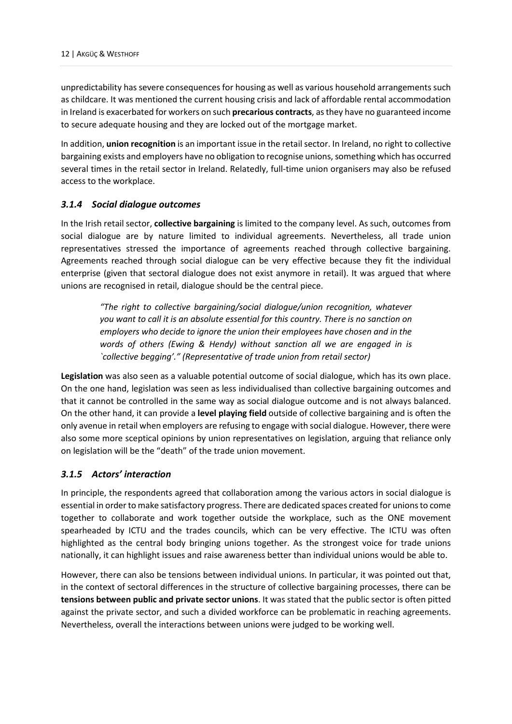unpredictability has severe consequences for housing as well as various household arrangements such as childcare. It was mentioned the current housing crisis and lack of affordable rental accommodation in Ireland is exacerbated for workers on such **precarious contracts**, as they have no guaranteed income to secure adequate housing and they are locked out of the mortgage market.

In addition, **union recognition** is an important issue in the retail sector. In Ireland, no right to collective bargaining exists and employers have no obligation to recognise unions, something which has occurred several times in the retail sector in Ireland. Relatedly, full-time union organisers may also be refused access to the workplace.

#### <span id="page-15-0"></span>*3.1.4 Social dialogue outcomes*

In the Irish retail sector, **collective bargaining** is limited to the company level. As such, outcomes from social dialogue are by nature limited to individual agreements. Nevertheless, all trade union representatives stressed the importance of agreements reached through collective bargaining. Agreements reached through social dialogue can be very effective because they fit the individual enterprise (given that sectoral dialogue does not exist anymore in retail). It was argued that where unions are recognised in retail, dialogue should be the central piece.

*"The right to collective bargaining/social dialogue/union recognition, whatever you want to call it is an absolute essential for this country. There is no sanction on employers who decide to ignore the union their employees have chosen and in the words of others (Ewing & Hendy) without sanction all we are engaged in is `collective begging'." (Representative of trade union from retail sector)*

**Legislation** was also seen as a valuable potential outcome of social dialogue, which has its own place. On the one hand, legislation was seen as less individualised than collective bargaining outcomes and that it cannot be controlled in the same way as social dialogue outcome and is not always balanced. On the other hand, it can provide a **level playing field** outside of collective bargaining and is often the only avenue in retail when employers are refusing to engage with social dialogue. However, there were also some more sceptical opinions by union representatives on legislation, arguing that reliance only on legislation will be the "death" of the trade union movement.

# <span id="page-15-1"></span>*3.1.5 Actors' interaction*

In principle, the respondents agreed that collaboration among the various actors in social dialogue is essential in order to make satisfactory progress. There are dedicated spaces created for unions to come together to collaborate and work together outside the workplace, such as the ONE movement spearheaded by ICTU and the trades councils, which can be very effective. The ICTU was often highlighted as the central body bringing unions together. As the strongest voice for trade unions nationally, it can highlight issues and raise awareness better than individual unions would be able to.

However, there can also be tensions between individual unions. In particular, it was pointed out that, in the context of sectoral differences in the structure of collective bargaining processes, there can be **tensions between public and private sector unions**. It was stated that the public sector is often pitted against the private sector, and such a divided workforce can be problematic in reaching agreements. Nevertheless, overall the interactions between unions were judged to be working well.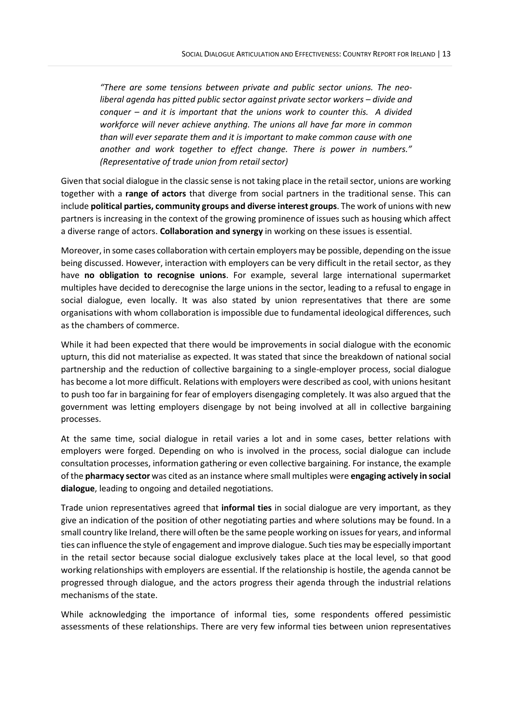*"There are some tensions between private and public sector unions. The neoliberal agenda has pitted public sector against private sector workers – divide and conquer – and it is important that the unions work to counter this. A divided workforce will never achieve anything. The unions all have far more in common than will ever separate them and it is important to make common cause with one another and work together to effect change. There is power in numbers." (Representative of trade union from retail sector)*

Given that social dialogue in the classic sense is not taking place in the retail sector, unions are working together with a **range of actors** that diverge from social partners in the traditional sense. This can include **political parties, community groups and diverse interest groups**. The work of unions with new partners is increasing in the context of the growing prominence of issues such as housing which affect a diverse range of actors. **Collaboration and synergy** in working on these issues is essential.

Moreover, in some cases collaboration with certain employers may be possible, depending on the issue being discussed. However, interaction with employers can be very difficult in the retail sector, as they have **no obligation to recognise unions**. For example, several large international supermarket multiples have decided to derecognise the large unions in the sector, leading to a refusal to engage in social dialogue, even locally. It was also stated by union representatives that there are some organisations with whom collaboration is impossible due to fundamental ideological differences, such as the chambers of commerce.

While it had been expected that there would be improvements in social dialogue with the economic upturn, this did not materialise as expected. It was stated that since the breakdown of national social partnership and the reduction of collective bargaining to a single-employer process, social dialogue has become a lot more difficult. Relations with employers were described as cool, with unions hesitant to push too far in bargaining for fear of employers disengaging completely. It was also argued that the government was letting employers disengage by not being involved at all in collective bargaining processes.

At the same time, social dialogue in retail varies a lot and in some cases, better relations with employers were forged. Depending on who is involved in the process, social dialogue can include consultation processes, information gathering or even collective bargaining. For instance, the example of the **pharmacy sector** was cited as an instance where small multiples were **engaging actively in social dialogue**, leading to ongoing and detailed negotiations.

Trade union representatives agreed that **informal ties** in social dialogue are very important, as they give an indication of the position of other negotiating parties and where solutions may be found. In a small country like Ireland, there will often be the same people working on issues for years, and informal ties can influence the style of engagement and improve dialogue. Such ties may be especially important in the retail sector because social dialogue exclusively takes place at the local level, so that good working relationships with employers are essential. If the relationship is hostile, the agenda cannot be progressed through dialogue, and the actors progress their agenda through the industrial relations mechanisms of the state.

While acknowledging the importance of informal ties, some respondents offered pessimistic assessments of these relationships. There are very few informal ties between union representatives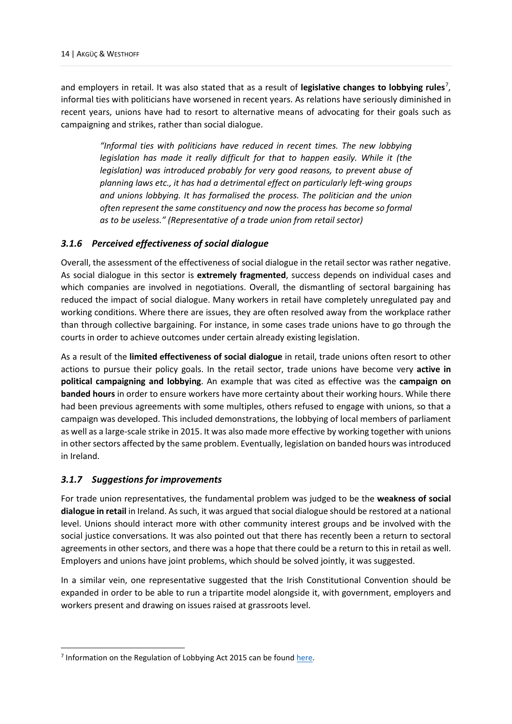and employers in retail. It was also stated that as a result of **legislative changes to lobbying rules**<sup>[7](#page-17-2)</sup>, informal ties with politicians have worsened in recent years. As relations have seriously diminished in recent years, unions have had to resort to alternative means of advocating for their goals such as campaigning and strikes, rather than social dialogue.

*"Informal ties with politicians have reduced in recent times. The new lobbying legislation has made it really difficult for that to happen easily. While it (the legislation) was introduced probably for very good reasons, to prevent abuse of planning laws etc., it has had a detrimental effect on particularly left-wing groups and unions lobbying. It has formalised the process. The politician and the union often represent the same constituency and now the process has become so formal as to be useless." (Representative of a trade union from retail sector)*

#### <span id="page-17-0"></span>*3.1.6 Perceived effectiveness of social dialogue*

Overall, the assessment of the effectiveness of social dialogue in the retail sector was rather negative. As social dialogue in this sector is **extremely fragmented**, success depends on individual cases and which companies are involved in negotiations. Overall, the dismantling of sectoral bargaining has reduced the impact of social dialogue. Many workers in retail have completely unregulated pay and working conditions. Where there are issues, they are often resolved away from the workplace rather than through collective bargaining. For instance, in some cases trade unions have to go through the courts in order to achieve outcomes under certain already existing legislation.

As a result of the **limited effectiveness of social dialogue** in retail, trade unions often resort to other actions to pursue their policy goals. In the retail sector, trade unions have become very **active in political campaigning and lobbying**. An example that was cited as effective was the **campaign on banded hours** in order to ensure workers have more certainty about their working hours. While there had been previous agreements with some multiples, others refused to engage with unions, so that a campaign was developed. This included demonstrations, the lobbying of local members of parliament as well as a large-scale strike in 2015. It was also made more effective by working together with unions in other sectors affected by the same problem. Eventually, legislation on banded hours was introduced in Ireland.

#### <span id="page-17-1"></span>*3.1.7 Suggestions for improvements*

For trade union representatives, the fundamental problem was judged to be the **weakness of social dialogue in retail** in Ireland. As such, it was argued that social dialogue should be restored at a national level. Unions should interact more with other community interest groups and be involved with the social justice conversations. It was also pointed out that there has recently been a return to sectoral agreements in other sectors, and there was a hope that there could be a return to this in retail as well. Employers and unions have joint problems, which should be solved jointly, it was suggested.

In a similar vein, one representative suggested that the Irish Constitutional Convention should be expanded in order to be able to run a tripartite model alongside it, with government, employers and workers present and drawing on issues raised at grassroots level.

<span id="page-17-2"></span><sup>&</sup>lt;sup>7</sup> Information on the Regulation of Lobbying Act 2015 can be found [here.](https://www.citizensinformation.ie/en/government_in_ireland/national_government/standards_and_accountability/regulation_of_lobbying.html)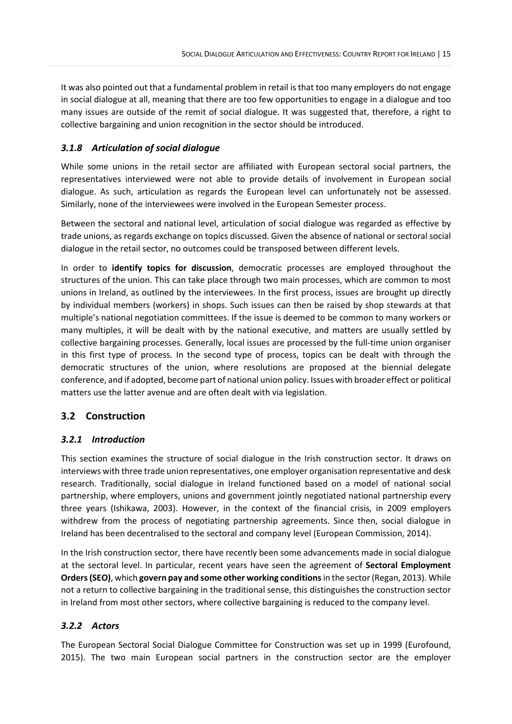It was also pointed out that a fundamental problem in retail is that too many employers do not engage in social dialogue at all, meaning that there are too few opportunities to engage in a dialogue and too many issues are outside of the remit of social dialogue. It was suggested that, therefore, a right to collective bargaining and union recognition in the sector should be introduced.

# <span id="page-18-0"></span>*3.1.8 Articulation of social dialogue*

While some unions in the retail sector are affiliated with European sectoral social partners, the representatives interviewed were not able to provide details of involvement in European social dialogue. As such, articulation as regards the European level can unfortunately not be assessed. Similarly, none of the interviewees were involved in the European Semester process.

Between the sectoral and national level, articulation of social dialogue was regarded as effective by trade unions, as regards exchange on topics discussed. Given the absence of national or sectoral social dialogue in the retail sector, no outcomes could be transposed between different levels.

In order to **identify topics for discussion**, democratic processes are employed throughout the structures of the union. This can take place through two main processes, which are common to most unions in Ireland, as outlined by the interviewees. In the first process, issues are brought up directly by individual members (workers) in shops. Such issues can then be raised by shop stewards at that multiple's national negotiation committees. If the issue is deemed to be common to many workers or many multiples, it will be dealt with by the national executive, and matters are usually settled by collective bargaining processes. Generally, local issues are processed by the full-time union organiser in this first type of process. In the second type of process, topics can be dealt with through the democratic structures of the union, where resolutions are proposed at the biennial delegate conference, and if adopted, become part of national union policy. Issues with broader effect or political matters use the latter avenue and are often dealt with via legislation.

# <span id="page-18-1"></span>**3.2 Construction**

# <span id="page-18-2"></span>*3.2.1 Introduction*

This section examines the structure of social dialogue in the Irish construction sector. It draws on interviews with three trade union representatives, one employer organisation representative and desk research. Traditionally, social dialogue in Ireland functioned based on a model of national social partnership, where employers, unions and government jointly negotiated national partnership every three years (Ishikawa, 2003). However, in the context of the financial crisis, in 2009 employers withdrew from the process of negotiating partnership agreements. Since then, social dialogue in Ireland has been decentralised to the sectoral and company level (European Commission, 2014).

In the Irish construction sector, there have recently been some advancements made in social dialogue at the sectoral level. In particular, recent years have seen the agreement of **Sectoral Employment Orders(SEO)**, which **govern pay and some other working conditions**in the sector (Regan, 2013). While not a return to collective bargaining in the traditional sense, this distinguishes the construction sector in Ireland from most other sectors, where collective bargaining is reduced to the company level.

# <span id="page-18-3"></span>*3.2.2 Actors*

The European Sectoral Social Dialogue Committee for Construction was set up in 1999 (Eurofound, 2015). The two main European social partners in the construction sector are the employer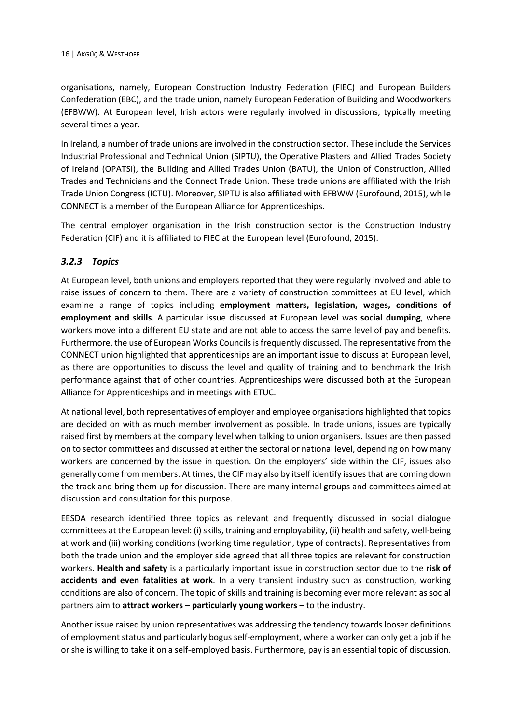organisations, namely, European Construction Industry Federation (FIEC) and European Builders Confederation (EBC), and the trade union, namely European Federation of Building and Woodworkers (EFBWW). At European level, Irish actors were regularly involved in discussions, typically meeting several times a year.

In Ireland, a number of trade unions are involved in the construction sector. These include the Services Industrial Professional and Technical Union (SIPTU), the Operative Plasters and Allied Trades Society of Ireland (OPATSI), the Building and Allied Trades Union (BATU), the Union of Construction, Allied Trades and Technicians and the Connect Trade Union. These trade unions are affiliated with the Irish Trade Union Congress (ICTU). Moreover, SIPTU is also affiliated with EFBWW (Eurofound, 2015), while CONNECT is a member of the European Alliance for Apprenticeships.

The central employer organisation in the Irish construction sector is the Construction Industry Federation (CIF) and it is affiliated to FIEC at the European level (Eurofound, 2015).

# <span id="page-19-0"></span>*3.2.3 Topics*

At European level, both unions and employers reported that they were regularly involved and able to raise issues of concern to them. There are a variety of construction committees at EU level, which examine a range of topics including **employment matters, legislation, wages, conditions of employment and skills**. A particular issue discussed at European level was **social dumping**, where workers move into a different EU state and are not able to access the same level of pay and benefits. Furthermore, the use of European Works Councils is frequently discussed. The representative from the CONNECT union highlighted that apprenticeships are an important issue to discuss at European level, as there are opportunities to discuss the level and quality of training and to benchmark the Irish performance against that of other countries. Apprenticeships were discussed both at the European Alliance for Apprenticeships and in meetings with ETUC.

At national level, both representatives of employer and employee organisations highlighted that topics are decided on with as much member involvement as possible. In trade unions, issues are typically raised first by members at the company level when talking to union organisers. Issues are then passed on to sector committees and discussed at either the sectoral or national level, depending on how many workers are concerned by the issue in question. On the employers' side within the CIF, issues also generally come from members. At times, the CIF may also by itself identify issues that are coming down the track and bring them up for discussion. There are many internal groups and committees aimed at discussion and consultation for this purpose.

EESDA research identified three topics as relevant and frequently discussed in social dialogue committees at the European level: (i) skills, training and employability, (ii) health and safety, well-being at work and (iii) working conditions (working time regulation, type of contracts). Representatives from both the trade union and the employer side agreed that all three topics are relevant for construction workers. **Health and safety** is a particularly important issue in construction sector due to the **risk of accidents and even fatalities at work**. In a very transient industry such as construction, working conditions are also of concern. The topic of skills and training is becoming ever more relevant as social partners aim to **attract workers – particularly young workers** – to the industry.

Another issue raised by union representatives was addressing the tendency towards looser definitions of employment status and particularly bogus self-employment, where a worker can only get a job if he or she is willing to take it on a self-employed basis. Furthermore, pay is an essential topic of discussion.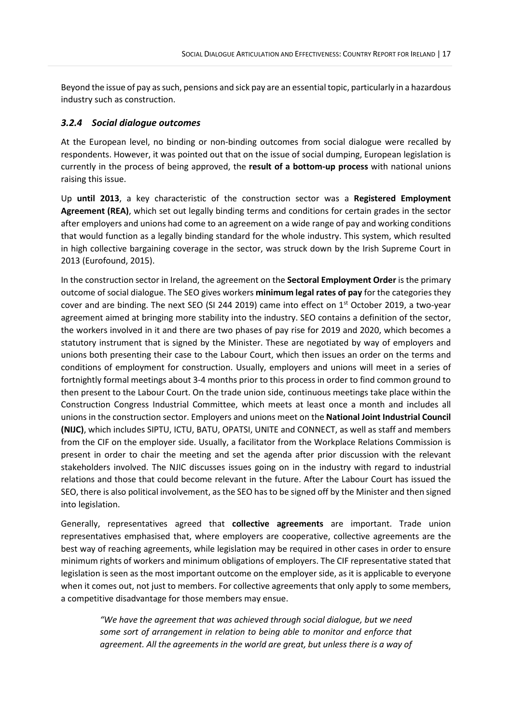Beyond the issue of pay as such, pensions and sick pay are an essential topic, particularly in a hazardous industry such as construction.

#### <span id="page-20-0"></span>*3.2.4 Social dialogue outcomes*

At the European level, no binding or non-binding outcomes from social dialogue were recalled by respondents. However, it was pointed out that on the issue of social dumping, European legislation is currently in the process of being approved, the **result of a bottom-up process** with national unions raising this issue.

Up **until 2013**, a key characteristic of the construction sector was a **Registered Employment Agreement (REA)**, which set out legally binding terms and conditions for certain grades in the sector after employers and unions had come to an agreement on a wide range of pay and working conditions that would function as a legally binding standard for the whole industry. This system, which resulted in high collective bargaining coverage in the sector, was struck down by the Irish Supreme Court in 2013 (Eurofound, 2015).

In the construction sector in Ireland, the agreement on the **Sectoral Employment Order** is the primary outcome of social dialogue. The SEO gives workers **minimum legal rates of pay** for the categories they cover and are binding. The next SEO (SI 244 2019) came into effect on  $1<sup>st</sup>$  October 2019, a two-year agreement aimed at bringing more stability into the industry. SEO contains a definition of the sector, the workers involved in it and there are two phases of pay rise for 2019 and 2020, which becomes a statutory instrument that is signed by the Minister. These are negotiated by way of employers and unions both presenting their case to the Labour Court, which then issues an order on the terms and conditions of employment for construction. Usually, employers and unions will meet in a series of fortnightly formal meetings about 3-4 months prior to this process in order to find common ground to then present to the Labour Court. On the trade union side, continuous meetings take place within the Construction Congress Industrial Committee, which meets at least once a month and includes all unions in the construction sector. Employers and unions meet on the **National Joint Industrial Council (NIJC)**, which includes SIPTU, ICTU, BATU, OPATSI, UNITE and CONNECT, as well as staff and members from the CIF on the employer side. Usually, a facilitator from the Workplace Relations Commission is present in order to chair the meeting and set the agenda after prior discussion with the relevant stakeholders involved. The NJIC discusses issues going on in the industry with regard to industrial relations and those that could become relevant in the future. After the Labour Court has issued the SEO, there is also political involvement, as the SEO has to be signed off by the Minister and then signed into legislation.

Generally, representatives agreed that **collective agreements** are important. Trade union representatives emphasised that, where employers are cooperative, collective agreements are the best way of reaching agreements, while legislation may be required in other cases in order to ensure minimum rights of workers and minimum obligations of employers. The CIF representative stated that legislation is seen as the most important outcome on the employer side, as it is applicable to everyone when it comes out, not just to members. For collective agreements that only apply to some members, a competitive disadvantage for those members may ensue.

*"We have the agreement that was achieved through social dialogue, but we need some sort of arrangement in relation to being able to monitor and enforce that agreement. All the agreements in the world are great, but unless there is a way of*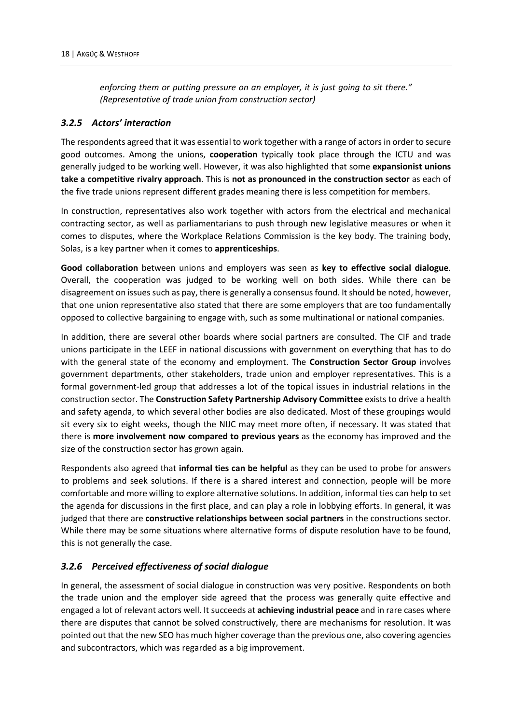*enforcing them or putting pressure on an employer, it is just going to sit there." (Representative of trade union from construction sector)*

#### <span id="page-21-0"></span>*3.2.5 Actors' interaction*

The respondents agreed that it was essential to work together with a range of actors in order to secure good outcomes. Among the unions, **cooperation** typically took place through the ICTU and was generally judged to be working well. However, it was also highlighted that some **expansionist unions take a competitive rivalry approach**. This is **not as pronounced in the construction sector** as each of the five trade unions represent different grades meaning there is less competition for members.

In construction, representatives also work together with actors from the electrical and mechanical contracting sector, as well as parliamentarians to push through new legislative measures or when it comes to disputes, where the Workplace Relations Commission is the key body. The training body, Solas, is a key partner when it comes to **apprenticeships**.

**Good collaboration** between unions and employers was seen as **key to effective social dialogue**. Overall, the cooperation was judged to be working well on both sides. While there can be disagreement on issues such as pay, there is generally a consensus found. It should be noted, however, that one union representative also stated that there are some employers that are too fundamentally opposed to collective bargaining to engage with, such as some multinational or national companies.

In addition, there are several other boards where social partners are consulted. The CIF and trade unions participate in the LEEF in national discussions with government on everything that has to do with the general state of the economy and employment. The **Construction Sector Group** involves government departments, other stakeholders, trade union and employer representatives. This is a formal government-led group that addresses a lot of the topical issues in industrial relations in the construction sector. The **Construction Safety Partnership Advisory Committee** exists to drive a health and safety agenda, to which several other bodies are also dedicated. Most of these groupings would sit every six to eight weeks, though the NIJC may meet more often, if necessary. It was stated that there is **more involvement now compared to previous years** as the economy has improved and the size of the construction sector has grown again.

Respondents also agreed that **informal ties can be helpful** as they can be used to probe for answers to problems and seek solutions. If there is a shared interest and connection, people will be more comfortable and more willing to explore alternative solutions. In addition, informal ties can help to set the agenda for discussions in the first place, and can play a role in lobbying efforts. In general, it was judged that there are **constructive relationships between social partners** in the constructions sector. While there may be some situations where alternative forms of dispute resolution have to be found, this is not generally the case.

# <span id="page-21-1"></span>*3.2.6 Perceived effectiveness of social dialogue*

In general, the assessment of social dialogue in construction was very positive. Respondents on both the trade union and the employer side agreed that the process was generally quite effective and engaged a lot of relevant actors well. It succeeds at **achieving industrial peace** and in rare cases where there are disputes that cannot be solved constructively, there are mechanisms for resolution. It was pointed out that the new SEO has much higher coverage than the previous one, also covering agencies and subcontractors, which was regarded as a big improvement.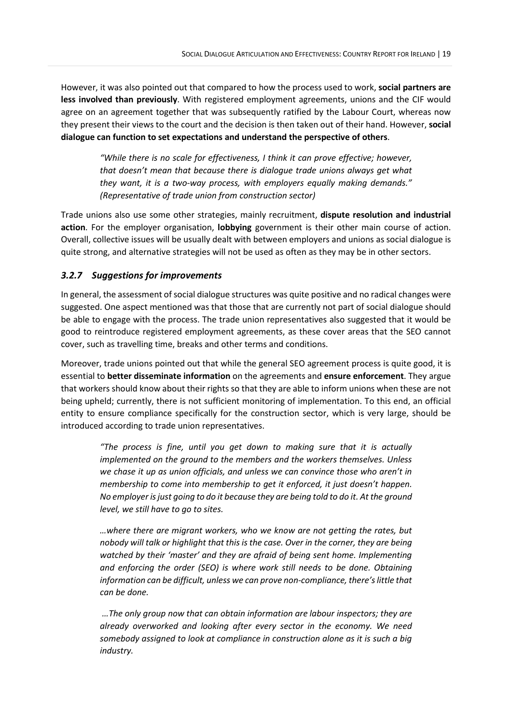However, it was also pointed out that compared to how the process used to work, **social partners are less involved than previously**. With registered employment agreements, unions and the CIF would agree on an agreement together that was subsequently ratified by the Labour Court, whereas now they present their views to the court and the decision is then taken out of their hand. However, **social dialogue can function to set expectations and understand the perspective of others**.

*"While there is no scale for effectiveness, I think it can prove effective; however, that doesn't mean that because there is dialogue trade unions always get what they want, it is a two-way process, with employers equally making demands." (Representative of trade union from construction sector)*

Trade unions also use some other strategies, mainly recruitment, **dispute resolution and industrial action**. For the employer organisation, **lobbying** government is their other main course of action. Overall, collective issues will be usually dealt with between employers and unions as social dialogue is quite strong, and alternative strategies will not be used as often as they may be in other sectors.

#### <span id="page-22-0"></span>*3.2.7 Suggestions for improvements*

In general, the assessment of social dialogue structures was quite positive and no radical changes were suggested. One aspect mentioned was that those that are currently not part of social dialogue should be able to engage with the process. The trade union representatives also suggested that it would be good to reintroduce registered employment agreements, as these cover areas that the SEO cannot cover, such as travelling time, breaks and other terms and conditions.

Moreover, trade unions pointed out that while the general SEO agreement process is quite good, it is essential to **better disseminate information** on the agreements and **ensure enforcement**. They argue that workers should know about their rights so that they are able to inform unions when these are not being upheld; currently, there is not sufficient monitoring of implementation. To this end, an official entity to ensure compliance specifically for the construction sector, which is very large, should be introduced according to trade union representatives.

*"The process is fine, until you get down to making sure that it is actually implemented on the ground to the members and the workers themselves. Unless we chase it up as union officials, and unless we can convince those who aren't in membership to come into membership to get it enforced, it just doesn't happen. No employer is just going to do it because they are being told to do it. At the ground level, we still have to go to sites.* 

*…where there are migrant workers, who we know are not getting the rates, but nobody will talk or highlight that this is the case. Over in the corner, they are being watched by their 'master' and they are afraid of being sent home. Implementing and enforcing the order (SEO) is where work still needs to be done. Obtaining information can be difficult, unless we can prove non-compliance, there's little that can be done.*

*…The only group now that can obtain information are labour inspectors; they are already overworked and looking after every sector in the economy. We need somebody assigned to look at compliance in construction alone as it is such a big industry.*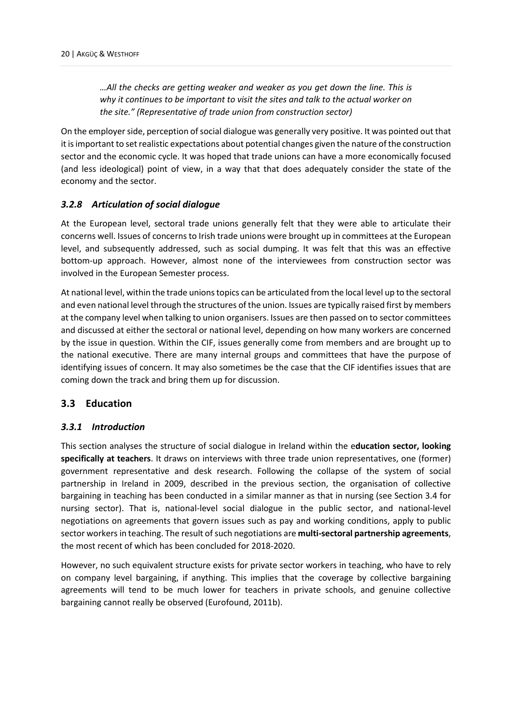*…All the checks are getting weaker and weaker as you get down the line. This is why it continues to be important to visit the sites and talk to the actual worker on the site." (Representative of trade union from construction sector)*

On the employer side, perception of social dialogue was generally very positive. It was pointed out that it is important to set realistic expectations about potential changes given the nature of the construction sector and the economic cycle. It was hoped that trade unions can have a more economically focused (and less ideological) point of view, in a way that that does adequately consider the state of the economy and the sector.

#### <span id="page-23-0"></span>*3.2.8 Articulation of social dialogue*

At the European level, sectoral trade unions generally felt that they were able to articulate their concerns well. Issues of concerns to Irish trade unions were brought up in committees at the European level, and subsequently addressed, such as social dumping. It was felt that this was an effective bottom-up approach. However, almost none of the interviewees from construction sector was involved in the European Semester process.

At national level, within the trade unions topics can be articulated from the local level up to the sectoral and even national level through the structures of the union. Issues are typically raised first by members at the company level when talking to union organisers. Issues are then passed on to sector committees and discussed at either the sectoral or national level, depending on how many workers are concerned by the issue in question. Within the CIF, issues generally come from members and are brought up to the national executive. There are many internal groups and committees that have the purpose of identifying issues of concern. It may also sometimes be the case that the CIF identifies issues that are coming down the track and bring them up for discussion.

#### <span id="page-23-1"></span>**3.3 Education**

#### <span id="page-23-2"></span>*3.3.1 Introduction*

This section analyses the structure of social dialogue in Ireland within the e**ducation sector, looking specifically at teachers**. It draws on interviews with three trade union representatives, one (former) government representative and desk research. Following the collapse of the system of social partnership in Ireland in 2009, described in the previous section, the organisation of collective bargaining in teaching has been conducted in a similar manner as that in nursing (see Section 3.4 for nursing sector). That is, national-level social dialogue in the public sector, and national-level negotiations on agreements that govern issues such as pay and working conditions, apply to public sector workers in teaching. The result of such negotiations are **multi-sectoral partnership agreements**, the most recent of which has been concluded for 2018-2020.

However, no such equivalent structure exists for private sector workers in teaching, who have to rely on company level bargaining, if anything. This implies that the coverage by collective bargaining agreements will tend to be much lower for teachers in private schools, and genuine collective bargaining cannot really be observed (Eurofound, 2011b).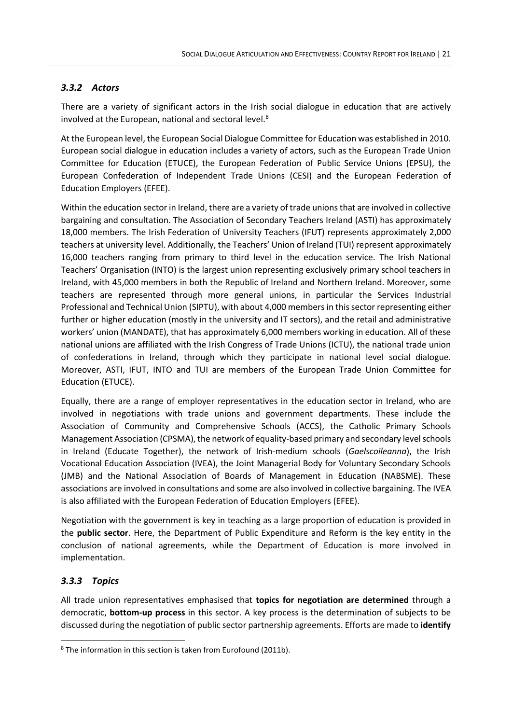# <span id="page-24-0"></span>*3.3.2 Actors*

There are a variety of significant actors in the Irish social dialogue in education that are actively involved at the European, national and sectoral level. [8](#page-24-2)

At the European level, the European Social Dialogue Committee for Education was established in 2010. European social dialogue in education includes a variety of actors, such as the European Trade Union Committee for Education (ETUCE), the European Federation of Public Service Unions (EPSU), the European Confederation of Independent Trade Unions (CESI) and the European Federation of Education Employers (EFEE).

Within the education sector in Ireland, there are a variety of trade unions that are involved in collective bargaining and consultation. The Association of Secondary Teachers Ireland (ASTI) has approximately 18,000 members. The Irish Federation of University Teachers (IFUT) represents approximately 2,000 teachers at university level. Additionally, the Teachers' Union of Ireland (TUI) represent approximately 16,000 teachers ranging from primary to third level in the education service. The Irish National Teachers' Organisation (INTO) is the largest union representing exclusively primary school teachers in Ireland, with 45,000 members in both the Republic of Ireland and Northern Ireland. Moreover, some teachers are represented through more general unions, in particular the Services Industrial Professional and Technical Union (SIPTU), with about 4,000 members in this sector representing either further or higher education (mostly in the university and IT sectors), and the retail and administrative workers' union (MANDATE), that has approximately 6,000 members working in education. All of these national unions are affiliated with the Irish Congress of Trade Unions (ICTU), the national trade union of confederations in Ireland, through which they participate in national level social dialogue. Moreover, ASTI, IFUT, INTO and TUI are members of the European Trade Union Committee for Education (ETUCE).

Equally, there are a range of employer representatives in the education sector in Ireland, who are involved in negotiations with trade unions and government departments. These include the Association of Community and Comprehensive Schools (ACCS), the Catholic Primary Schools Management Association (CPSMA), the network of equality-based primary and secondary level schools in Ireland (Educate Together), the network of Irish-medium schools (*Gaelscoileanna*), the Irish Vocational Education Association (IVEA), the Joint Managerial Body for Voluntary Secondary Schools (JMB) and the National Association of Boards of Management in Education (NABSME). These associations are involved in consultations and some are also involved in collective bargaining. The IVEA is also affiliated with the European Federation of Education Employers (EFEE).

Negotiation with the government is key in teaching as a large proportion of education is provided in the **public sector**. Here, the Department of Public Expenditure and Reform is the key entity in the conclusion of national agreements, while the Department of Education is more involved in implementation.

# <span id="page-24-1"></span>*3.3.3 Topics*

All trade union representatives emphasised that **topics for negotiation are determined** through a democratic, **bottom-up process** in this sector. A key process is the determination of subjects to be discussed during the negotiation of public sector partnership agreements. Efforts are made to **identify** 

<span id="page-24-2"></span><sup>8</sup> The information in this section is taken from Eurofound (2011b).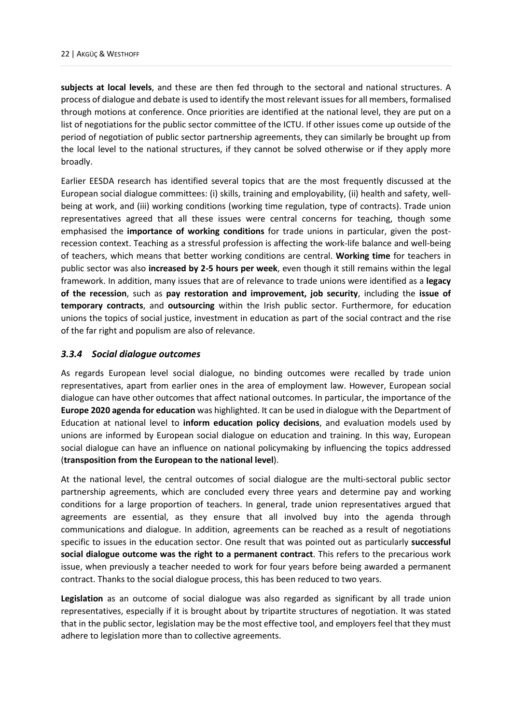**subjects at local levels**, and these are then fed through to the sectoral and national structures. A process of dialogue and debate is used to identify the most relevant issues for all members, formalised through motions at conference. Once priorities are identified at the national level, they are put on a list of negotiations for the public sector committee of the ICTU. If other issues come up outside of the period of negotiation of public sector partnership agreements, they can similarly be brought up from the local level to the national structures, if they cannot be solved otherwise or if they apply more broadly.

Earlier EESDA research has identified several topics that are the most frequently discussed at the European social dialogue committees: (i) skills, training and employability, (ii) health and safety, wellbeing at work, and (iii) working conditions (working time regulation, type of contracts). Trade union representatives agreed that all these issues were central concerns for teaching, though some emphasised the **importance of working conditions** for trade unions in particular, given the postrecession context. Teaching as a stressful profession is affecting the work-life balance and well-being of teachers, which means that better working conditions are central. **Working time** for teachers in public sector was also **increased by 2-5 hours per week**, even though it still remains within the legal framework. In addition, many issues that are of relevance to trade unions were identified as a **legacy of the recession**, such as **pay restoration and improvement, job security**, including the **issue of temporary contracts**, and **outsourcing** within the Irish public sector. Furthermore, for education unions the topics of social justice, investment in education as part of the social contract and the rise of the far right and populism are also of relevance.

#### <span id="page-25-0"></span>*3.3.4 Social dialogue outcomes*

As regards European level social dialogue, no binding outcomes were recalled by trade union representatives, apart from earlier ones in the area of employment law. However, European social dialogue can have other outcomes that affect national outcomes. In particular, the importance of the **Europe 2020 agenda for education** was highlighted. It can be used in dialogue with the Department of Education at national level to **inform education policy decisions**, and evaluation models used by unions are informed by European social dialogue on education and training. In this way, European social dialogue can have an influence on national policymaking by influencing the topics addressed (**transposition from the European to the national level**).

At the national level, the central outcomes of social dialogue are the multi-sectoral public sector partnership agreements, which are concluded every three years and determine pay and working conditions for a large proportion of teachers. In general, trade union representatives argued that agreements are essential, as they ensure that all involved buy into the agenda through communications and dialogue. In addition, agreements can be reached as a result of negotiations specific to issues in the education sector. One result that was pointed out as particularly **successful social dialogue outcome was the right to a permanent contract**. This refers to the precarious work issue, when previously a teacher needed to work for four years before being awarded a permanent contract. Thanks to the social dialogue process, this has been reduced to two years.

**Legislation** as an outcome of social dialogue was also regarded as significant by all trade union representatives, especially if it is brought about by tripartite structures of negotiation. It was stated that in the public sector, legislation may be the most effective tool, and employers feel that they must adhere to legislation more than to collective agreements.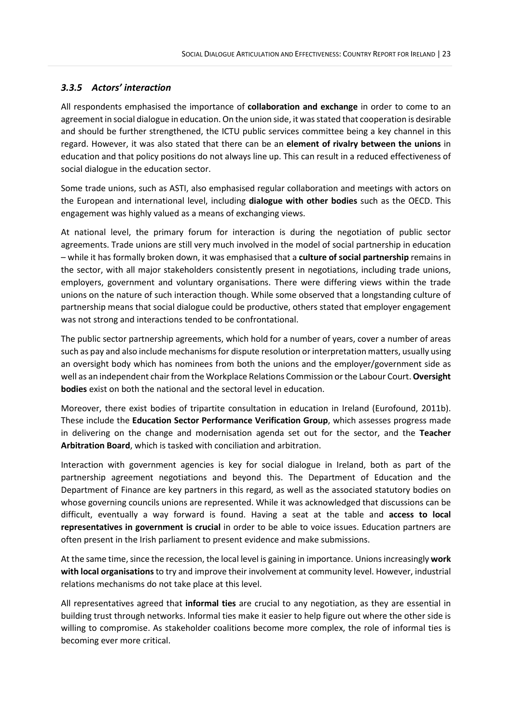# <span id="page-26-0"></span>*3.3.5 Actors' interaction*

All respondents emphasised the importance of **collaboration and exchange** in order to come to an agreement in social dialogue in education. On the union side, it was stated that cooperation is desirable and should be further strengthened, the ICTU public services committee being a key channel in this regard. However, it was also stated that there can be an **element of rivalry between the unions** in education and that policy positions do not always line up. This can result in a reduced effectiveness of social dialogue in the education sector.

Some trade unions, such as ASTI, also emphasised regular collaboration and meetings with actors on the European and international level, including **dialogue with other bodies** such as the OECD. This engagement was highly valued as a means of exchanging views.

At national level, the primary forum for interaction is during the negotiation of public sector agreements. Trade unions are still very much involved in the model of social partnership in education – while it has formally broken down, it was emphasised that a **culture of social partnership** remains in the sector, with all major stakeholders consistently present in negotiations, including trade unions, employers, government and voluntary organisations. There were differing views within the trade unions on the nature of such interaction though. While some observed that a longstanding culture of partnership means that social dialogue could be productive, others stated that employer engagement was not strong and interactions tended to be confrontational.

The public sector partnership agreements, which hold for a number of years, cover a number of areas such as pay and also include mechanisms for dispute resolution or interpretation matters, usually using an oversight body which has nominees from both the unions and the employer/government side as well as an independent chair from the Workplace Relations Commission or the Labour Court. **Oversight bodies** exist on both the national and the sectoral level in education.

Moreover, there exist bodies of tripartite consultation in education in Ireland (Eurofound, 2011b). These include the **Education Sector Performance Verification Group**, which assesses progress made in delivering on the change and modernisation agenda set out for the sector, and the **Teacher Arbitration Board**, which is tasked with conciliation and arbitration.

Interaction with government agencies is key for social dialogue in Ireland, both as part of the partnership agreement negotiations and beyond this. The Department of Education and the Department of Finance are key partners in this regard, as well as the associated statutory bodies on whose governing councils unions are represented. While it was acknowledged that discussions can be difficult, eventually a way forward is found. Having a seat at the table and **access to local representatives in government is crucial** in order to be able to voice issues. Education partners are often present in the Irish parliament to present evidence and make submissions.

At the same time, since the recession, the local level is gaining in importance. Unions increasingly **work with local organisations** to try and improve their involvement at community level. However, industrial relations mechanisms do not take place at this level.

All representatives agreed that **informal ties** are crucial to any negotiation, as they are essential in building trust through networks. Informal ties make it easier to help figure out where the other side is willing to compromise. As stakeholder coalitions become more complex, the role of informal ties is becoming ever more critical.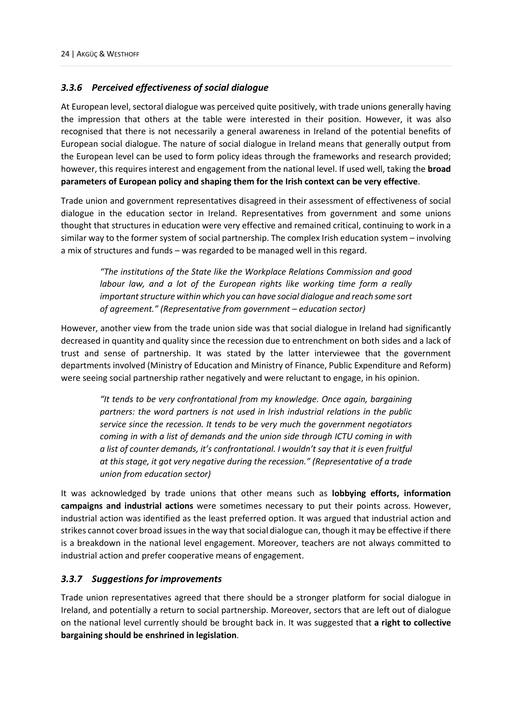#### <span id="page-27-0"></span>*3.3.6 Perceived effectiveness of social dialogue*

At European level, sectoral dialogue was perceived quite positively, with trade unions generally having the impression that others at the table were interested in their position. However, it was also recognised that there is not necessarily a general awareness in Ireland of the potential benefits of European social dialogue. The nature of social dialogue in Ireland means that generally output from the European level can be used to form policy ideas through the frameworks and research provided; however, this requires interest and engagement from the national level. If used well, taking the **broad parameters of European policy and shaping them for the Irish context can be very effective**.

Trade union and government representatives disagreed in their assessment of effectiveness of social dialogue in the education sector in Ireland. Representatives from government and some unions thought that structures in education were very effective and remained critical, continuing to work in a similar way to the former system of social partnership. The complex Irish education system – involving a mix of structures and funds – was regarded to be managed well in this regard.

*"The institutions of the State like the Workplace Relations Commission and good labour law, and a lot of the European rights like working time form a really important structure within which you can have social dialogue and reach some sort of agreement." (Representative from government – education sector)* 

However, another view from the trade union side was that social dialogue in Ireland had significantly decreased in quantity and quality since the recession due to entrenchment on both sides and a lack of trust and sense of partnership. It was stated by the latter interviewee that the government departments involved (Ministry of Education and Ministry of Finance, Public Expenditure and Reform) were seeing social partnership rather negatively and were reluctant to engage, in his opinion.

*"It tends to be very confrontational from my knowledge. Once again, bargaining partners: the word partners is not used in Irish industrial relations in the public service since the recession. It tends to be very much the government negotiators coming in with a list of demands and the union side through ICTU coming in with a list of counter demands, it's confrontational. I wouldn't say that it is even fruitful at this stage, it got very negative during the recession." (Representative of a trade union from education sector)* 

It was acknowledged by trade unions that other means such as **lobbying efforts, information campaigns and industrial actions** were sometimes necessary to put their points across. However, industrial action was identified as the least preferred option. It was argued that industrial action and strikes cannot cover broad issues in the way that social dialogue can, though it may be effective if there is a breakdown in the national level engagement. Moreover, teachers are not always committed to industrial action and prefer cooperative means of engagement.

#### <span id="page-27-1"></span>*3.3.7 Suggestions for improvements*

Trade union representatives agreed that there should be a stronger platform for social dialogue in Ireland, and potentially a return to social partnership. Moreover, sectors that are left out of dialogue on the national level currently should be brought back in. It was suggested that **a right to collective bargaining should be enshrined in legislation**.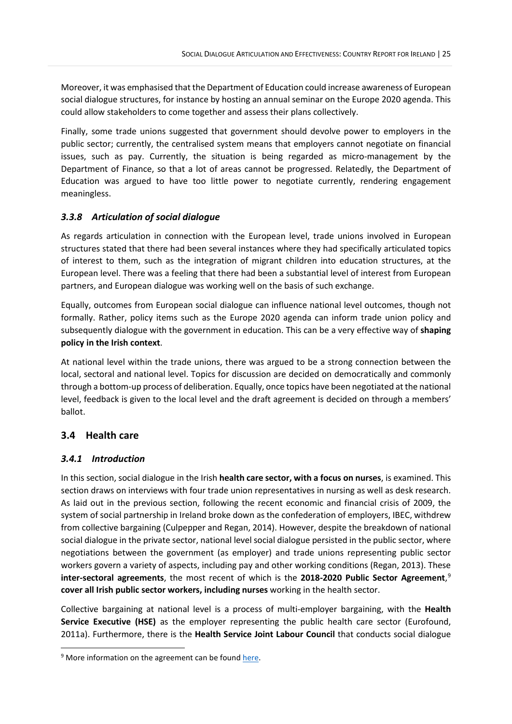Moreover, it was emphasised that the Department of Education could increase awareness of European social dialogue structures, for instance by hosting an annual seminar on the Europe 2020 agenda. This could allow stakeholders to come together and assess their plans collectively.

Finally, some trade unions suggested that government should devolve power to employers in the public sector; currently, the centralised system means that employers cannot negotiate on financial issues, such as pay. Currently, the situation is being regarded as micro-management by the Department of Finance, so that a lot of areas cannot be progressed. Relatedly, the Department of Education was argued to have too little power to negotiate currently, rendering engagement meaningless.

# <span id="page-28-0"></span>*3.3.8 Articulation of social dialogue*

As regards articulation in connection with the European level, trade unions involved in European structures stated that there had been several instances where they had specifically articulated topics of interest to them, such as the integration of migrant children into education structures, at the European level. There was a feeling that there had been a substantial level of interest from European partners, and European dialogue was working well on the basis of such exchange.

Equally, outcomes from European social dialogue can influence national level outcomes, though not formally. Rather, policy items such as the Europe 2020 agenda can inform trade union policy and subsequently dialogue with the government in education. This can be a very effective way of **shaping policy in the Irish context**.

At national level within the trade unions, there was argued to be a strong connection between the local, sectoral and national level. Topics for discussion are decided on democratically and commonly through a bottom-up process of deliberation. Equally, once topics have been negotiated at the national level, feedback is given to the local level and the draft agreement is decided on through a members' ballot.

# <span id="page-28-1"></span>**3.4 Health care**

# <span id="page-28-2"></span>*3.4.1 Introduction*

In this section, social dialogue in the Irish **health care sector, with a focus on nurses**, is examined. This section draws on interviews with four trade union representatives in nursing as well as desk research. As laid out in the previous section, following the recent economic and financial crisis of 2009, the system of social partnership in Ireland broke down as the confederation of employers, IBEC, withdrew from collective bargaining (Culpepper and Regan, 2014). However, despite the breakdown of national social dialogue in the private sector, national level social dialogue persisted in the public sector, where negotiations between the government (as employer) and trade unions representing public sector workers govern a variety of aspects, including pay and other working conditions (Regan, 2013). These **inter-sectoral agreements**, the most recent of which is the **2018-2020 Public Sector Agreement**, [9](#page-28-3) **cover all Irish public sector workers, including nurses** working in the health sector.

Collective bargaining at national level is a process of multi-employer bargaining, with the **Health Service Executive (HSE)** as the employer representing the public health care sector (Eurofound, 2011a). Furthermore, there is the **Health Service Joint Labour Council** that conducts social dialogue

<span id="page-28-3"></span><sup>&</sup>lt;sup>9</sup> More information on the agreement can be foun[d here.](https://www.gov.ie/en/publication/432f22-public-service-stability-agreement-2018-2020/)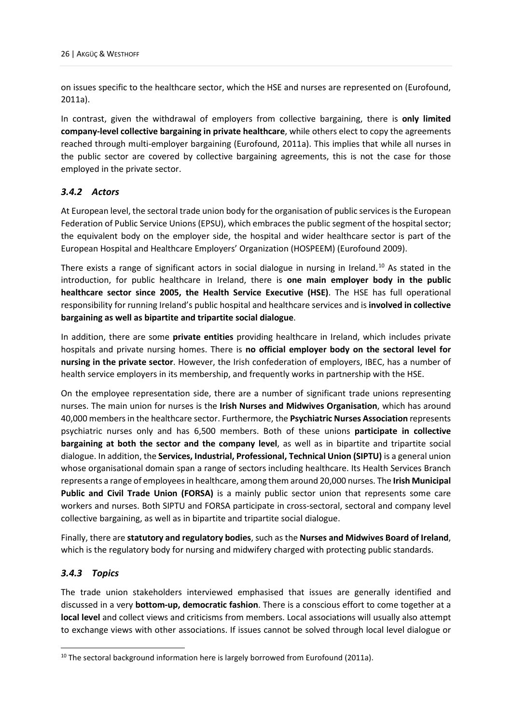on issues specific to the healthcare sector, which the HSE and nurses are represented on (Eurofound, 2011a).

In contrast, given the withdrawal of employers from collective bargaining, there is **only limited company-level collective bargaining in private healthcare**, while others elect to copy the agreements reached through multi-employer bargaining (Eurofound, 2011a). This implies that while all nurses in the public sector are covered by collective bargaining agreements, this is not the case for those employed in the private sector.

#### <span id="page-29-0"></span>*3.4.2 Actors*

At European level, the sectoral trade union body for the organisation of public services is the European Federation of Public Service Unions (EPSU), which embraces the public segment of the hospital sector; the equivalent body on the employer side, the hospital and wider healthcare sector is part of the European Hospital and Healthcare Employers' Organization (HOSPEEM) (Eurofound 2009).

There exists a range of significant actors in social dialogue in nursing in Ireland.<sup>[10](#page-29-2)</sup> As stated in the introduction, for public healthcare in Ireland, there is **one main employer body in the public healthcare sector since 2005, the Health Service Executive (HSE)**. The HSE has full operational responsibility for running Ireland's public hospital and healthcare services and is **involved in collective bargaining as well as bipartite and tripartite social dialogue**.

In addition, there are some **private entities** providing healthcare in Ireland, which includes private hospitals and private nursing homes. There is **no official employer body on the sectoral level for nursing in the private sector**. However, the Irish confederation of employers, IBEC, has a number of health service employers in its membership, and frequently works in partnership with the HSE.

On the employee representation side, there are a number of significant trade unions representing nurses. The main union for nurses is the **Irish Nurses and Midwives Organisation**, which has around 40,000 members in the healthcare sector. Furthermore, the **Psychiatric Nurses Association** represents psychiatric nurses only and has 6,500 members. Both of these unions **participate in collective bargaining at both the sector and the company level**, as well as in bipartite and tripartite social dialogue. In addition, the **Services, Industrial, Professional, Technical Union (SIPTU)** is a general union whose organisational domain span a range of sectors including healthcare. Its Health Services Branch represents a range of employees in healthcare, among them around 20,000 nurses. The **Irish Municipal Public and Civil Trade Union (FORSA)** is a mainly public sector union that represents some care workers and nurses. Both SIPTU and FORSA participate in cross-sectoral, sectoral and company level collective bargaining, as well as in bipartite and tripartite social dialogue.

Finally, there are **statutory and regulatory bodies**, such as the **Nurses and Midwives Board of Ireland**, which is the regulatory body for nursing and midwifery charged with protecting public standards.

# <span id="page-29-1"></span>*3.4.3 Topics*

The trade union stakeholders interviewed emphasised that issues are generally identified and discussed in a very **bottom-up, democratic fashion**. There is a conscious effort to come together at a **local level** and collect views and criticisms from members. Local associations will usually also attempt to exchange views with other associations. If issues cannot be solved through local level dialogue or

<span id="page-29-2"></span> $10$  The sectoral background information here is largely borrowed from Eurofound (2011a).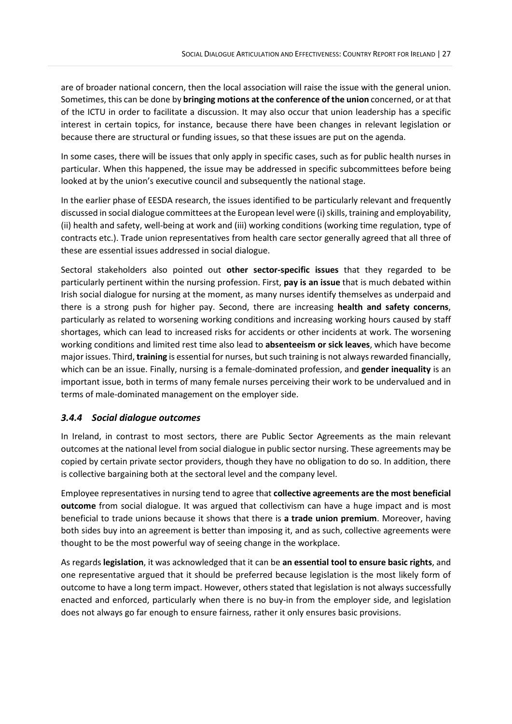are of broader national concern, then the local association will raise the issue with the general union. Sometimes, this can be done by **bringing motions at the conference of the union** concerned, or at that of the ICTU in order to facilitate a discussion. It may also occur that union leadership has a specific interest in certain topics, for instance, because there have been changes in relevant legislation or because there are structural or funding issues, so that these issues are put on the agenda.

In some cases, there will be issues that only apply in specific cases, such as for public health nurses in particular. When this happened, the issue may be addressed in specific subcommittees before being looked at by the union's executive council and subsequently the national stage.

In the earlier phase of EESDA research, the issues identified to be particularly relevant and frequently discussed in social dialogue committees at the European level were (i) skills, training and employability, (ii) health and safety, well-being at work and (iii) working conditions (working time regulation, type of contracts etc.). Trade union representatives from health care sector generally agreed that all three of these are essential issues addressed in social dialogue.

Sectoral stakeholders also pointed out **other sector-specific issues** that they regarded to be particularly pertinent within the nursing profession. First, **pay is an issue** that is much debated within Irish social dialogue for nursing at the moment, as many nurses identify themselves as underpaid and there is a strong push for higher pay. Second, there are increasing **health and safety concerns**, particularly as related to worsening working conditions and increasing working hours caused by staff shortages, which can lead to increased risks for accidents or other incidents at work. The worsening working conditions and limited rest time also lead to **absenteeism or sick leaves**, which have become major issues. Third, **training** is essential for nurses, but such training is not always rewarded financially, which can be an issue. Finally, nursing is a female-dominated profession, and **gender inequality** is an important issue, both in terms of many female nurses perceiving their work to be undervalued and in terms of male-dominated management on the employer side.

#### <span id="page-30-0"></span>*3.4.4 Social dialogue outcomes*

In Ireland, in contrast to most sectors, there are Public Sector Agreements as the main relevant outcomes at the national level from social dialogue in public sector nursing. These agreements may be copied by certain private sector providers, though they have no obligation to do so. In addition, there is collective bargaining both at the sectoral level and the company level.

Employee representatives in nursing tend to agree that **collective agreements are the most beneficial outcome** from social dialogue. It was argued that collectivism can have a huge impact and is most beneficial to trade unions because it shows that there is **a trade union premium**. Moreover, having both sides buy into an agreement is better than imposing it, and as such, collective agreements were thought to be the most powerful way of seeing change in the workplace.

As regards **legislation**, it was acknowledged that it can be **an essential tool to ensure basic rights**, and one representative argued that it should be preferred because legislation is the most likely form of outcome to have a long term impact. However, others stated that legislation is not always successfully enacted and enforced, particularly when there is no buy-in from the employer side, and legislation does not always go far enough to ensure fairness, rather it only ensures basic provisions.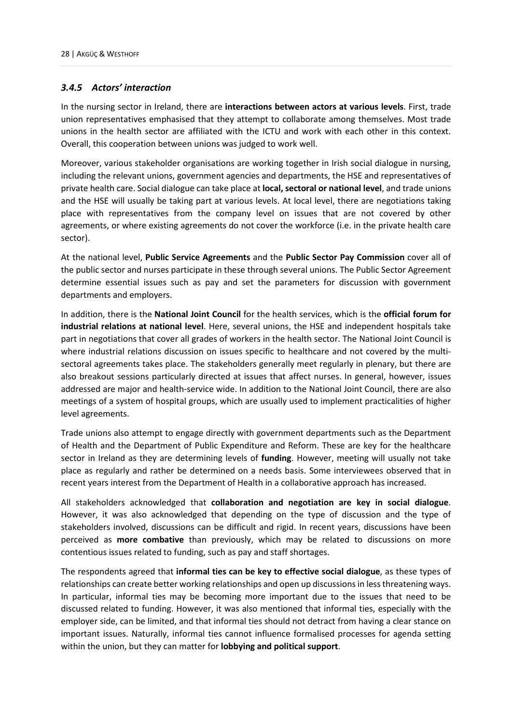#### <span id="page-31-0"></span>*3.4.5 Actors' interaction*

In the nursing sector in Ireland, there are **interactions between actors at various levels**. First, trade union representatives emphasised that they attempt to collaborate among themselves. Most trade unions in the health sector are affiliated with the ICTU and work with each other in this context. Overall, this cooperation between unions was judged to work well.

Moreover, various stakeholder organisations are working together in Irish social dialogue in nursing, including the relevant unions, government agencies and departments, the HSE and representatives of private health care. Social dialogue can take place at **local, sectoral or national level**, and trade unions and the HSE will usually be taking part at various levels. At local level, there are negotiations taking place with representatives from the company level on issues that are not covered by other agreements, or where existing agreements do not cover the workforce (i.e. in the private health care sector).

At the national level, **Public Service Agreements** and the **Public Sector Pay Commission** cover all of the public sector and nurses participate in these through several unions. The Public Sector Agreement determine essential issues such as pay and set the parameters for discussion with government departments and employers.

In addition, there is the **National Joint Council** for the health services, which is the **official forum for industrial relations at national level**. Here, several unions, the HSE and independent hospitals take part in negotiations that cover all grades of workers in the health sector. The National Joint Council is where industrial relations discussion on issues specific to healthcare and not covered by the multisectoral agreements takes place. The stakeholders generally meet regularly in plenary, but there are also breakout sessions particularly directed at issues that affect nurses. In general, however, issues addressed are major and health-service wide. In addition to the National Joint Council, there are also meetings of a system of hospital groups, which are usually used to implement practicalities of higher level agreements.

Trade unions also attempt to engage directly with government departments such as the Department of Health and the Department of Public Expenditure and Reform. These are key for the healthcare sector in Ireland as they are determining levels of **funding**. However, meeting will usually not take place as regularly and rather be determined on a needs basis. Some interviewees observed that in recent years interest from the Department of Health in a collaborative approach has increased.

All stakeholders acknowledged that **collaboration and negotiation are key in social dialogue**. However, it was also acknowledged that depending on the type of discussion and the type of stakeholders involved, discussions can be difficult and rigid. In recent years, discussions have been perceived as **more combative** than previously, which may be related to discussions on more contentious issues related to funding, such as pay and staff shortages.

The respondents agreed that **informal ties can be key to effective social dialogue**, as these types of relationships can create better working relationships and open up discussions in less threatening ways. In particular, informal ties may be becoming more important due to the issues that need to be discussed related to funding. However, it was also mentioned that informal ties, especially with the employer side, can be limited, and that informal ties should not detract from having a clear stance on important issues. Naturally, informal ties cannot influence formalised processes for agenda setting within the union, but they can matter for **lobbying and political support**.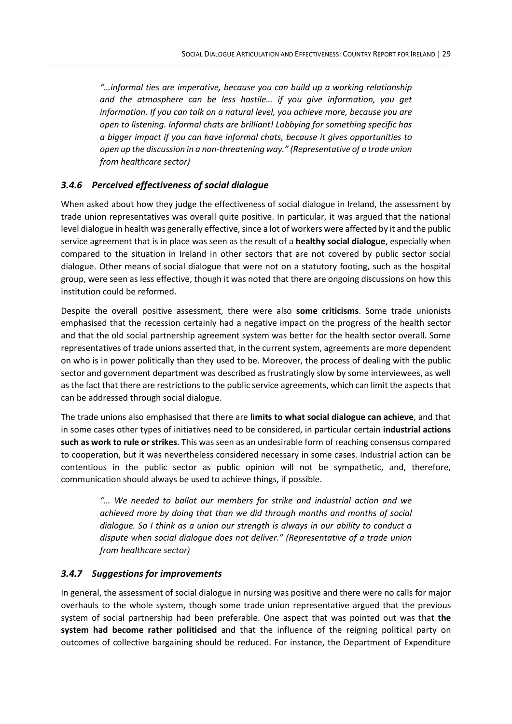*"…informal ties are imperative, because you can build up a working relationship and the atmosphere can be less hostile… if you give information, you get information. If you can talk on a natural level, you achieve more, because you are open to listening. Informal chats are brilliant! Lobbying for something specific has a bigger impact if you can have informal chats, because it gives opportunities to open up the discussion in a non-threatening way." (Representative of a trade union from healthcare sector)*

#### <span id="page-32-0"></span>*3.4.6 Perceived effectiveness of social dialogue*

When asked about how they judge the effectiveness of social dialogue in Ireland, the assessment by trade union representatives was overall quite positive. In particular, it was argued that the national level dialogue in health was generally effective, since a lot of workers were affected by it and the public service agreement that is in place was seen as the result of a **healthy social dialogue**, especially when compared to the situation in Ireland in other sectors that are not covered by public sector social dialogue. Other means of social dialogue that were not on a statutory footing, such as the hospital group, were seen as less effective, though it was noted that there are ongoing discussions on how this institution could be reformed.

Despite the overall positive assessment, there were also **some criticisms**. Some trade unionists emphasised that the recession certainly had a negative impact on the progress of the health sector and that the old social partnership agreement system was better for the health sector overall. Some representatives of trade unions asserted that, in the current system, agreements are more dependent on who is in power politically than they used to be. Moreover, the process of dealing with the public sector and government department was described as frustratingly slow by some interviewees, as well as the fact that there are restrictions to the public service agreements, which can limit the aspects that can be addressed through social dialogue.

The trade unions also emphasised that there are **limits to what social dialogue can achieve**, and that in some cases other types of initiatives need to be considered, in particular certain **industrial actions such as work to rule or strikes**. This was seen as an undesirable form of reaching consensus compared to cooperation, but it was nevertheless considered necessary in some cases. Industrial action can be contentious in the public sector as public opinion will not be sympathetic, and, therefore, communication should always be used to achieve things, if possible.

*"… We needed to ballot our members for strike and industrial action and we achieved more by doing that than we did through months and months of social dialogue. So I think as a union our strength is always in our ability to conduct a dispute when social dialogue does not deliver." (Representative of a trade union from healthcare sector)*

#### <span id="page-32-1"></span>*3.4.7 Suggestions for improvements*

In general, the assessment of social dialogue in nursing was positive and there were no calls for major overhauls to the whole system, though some trade union representative argued that the previous system of social partnership had been preferable. One aspect that was pointed out was that **the system had become rather politicised** and that the influence of the reigning political party on outcomes of collective bargaining should be reduced. For instance, the Department of Expenditure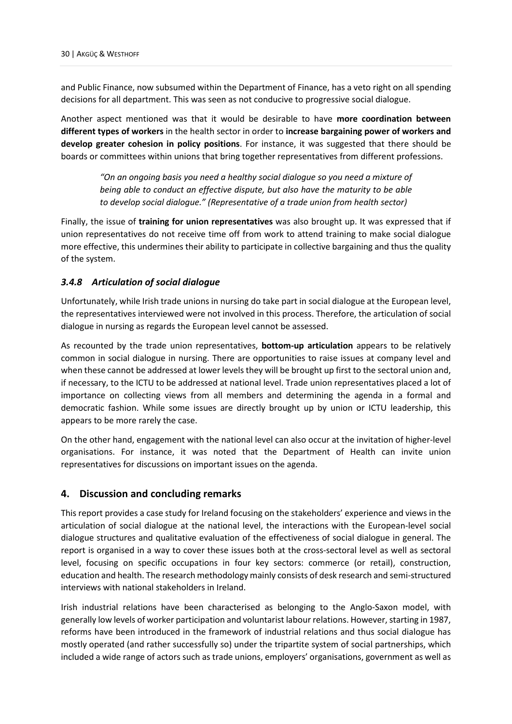and Public Finance, now subsumed within the Department of Finance, has a veto right on all spending decisions for all department. This was seen as not conducive to progressive social dialogue.

Another aspect mentioned was that it would be desirable to have **more coordination between different types of workers** in the health sector in order to **increase bargaining power of workers and develop greater cohesion in policy positions**. For instance, it was suggested that there should be boards or committees within unions that bring together representatives from different professions.

*"On an ongoing basis you need a healthy social dialogue so you need a mixture of being able to conduct an effective dispute, but also have the maturity to be able to develop social dialogue." (Representative of a trade union from health sector)*

Finally, the issue of **training for union representatives** was also brought up. It was expressed that if union representatives do not receive time off from work to attend training to make social dialogue more effective, this undermines their ability to participate in collective bargaining and thus the quality of the system.

#### <span id="page-33-0"></span>*3.4.8 Articulation of social dialogue*

Unfortunately, while Irish trade unions in nursing do take part in social dialogue at the European level, the representatives interviewed were not involved in this process. Therefore, the articulation of social dialogue in nursing as regards the European level cannot be assessed.

As recounted by the trade union representatives, **bottom-up articulation** appears to be relatively common in social dialogue in nursing. There are opportunities to raise issues at company level and when these cannot be addressed at lower levels they will be brought up first to the sectoral union and, if necessary, to the ICTU to be addressed at national level. Trade union representatives placed a lot of importance on collecting views from all members and determining the agenda in a formal and democratic fashion. While some issues are directly brought up by union or ICTU leadership, this appears to be more rarely the case.

On the other hand, engagement with the national level can also occur at the invitation of higher-level organisations. For instance, it was noted that the Department of Health can invite union representatives for discussions on important issues on the agenda.

#### <span id="page-33-1"></span>**4. Discussion and concluding remarks**

This report provides a case study for Ireland focusing on the stakeholders' experience and views in the articulation of social dialogue at the national level, the interactions with the European-level social dialogue structures and qualitative evaluation of the effectiveness of social dialogue in general. The report is organised in a way to cover these issues both at the cross-sectoral level as well as sectoral level, focusing on specific occupations in four key sectors: commerce (or retail), construction, education and health. The research methodology mainly consists of desk research and semi-structured interviews with national stakeholders in Ireland.

Irish industrial relations have been characterised as belonging to the Anglo-Saxon model, with generally low levels of worker participation and voluntarist labour relations. However, starting in 1987, reforms have been introduced in the framework of industrial relations and thus social dialogue has mostly operated (and rather successfully so) under the tripartite system of social partnerships, which included a wide range of actors such as trade unions, employers' organisations, government as well as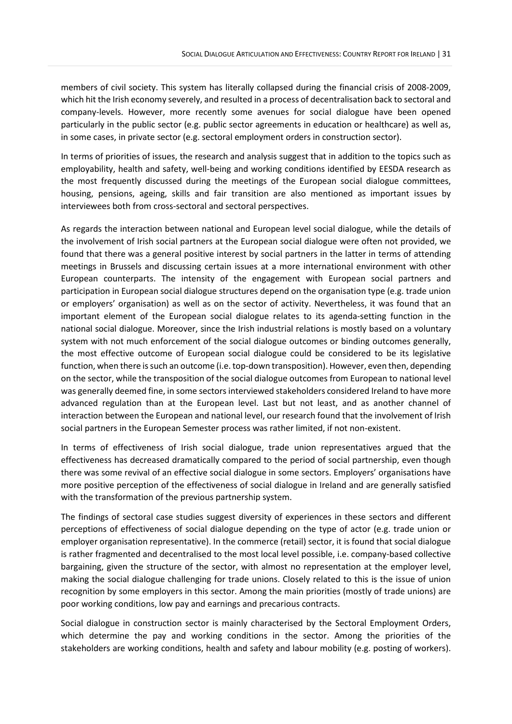members of civil society. This system has literally collapsed during the financial crisis of 2008-2009, which hit the Irish economy severely, and resulted in a process of decentralisation back to sectoral and company-levels. However, more recently some avenues for social dialogue have been opened particularly in the public sector (e.g. public sector agreements in education or healthcare) as well as, in some cases, in private sector (e.g. sectoral employment orders in construction sector).

In terms of priorities of issues, the research and analysis suggest that in addition to the topics such as employability, health and safety, well-being and working conditions identified by EESDA research as the most frequently discussed during the meetings of the European social dialogue committees, housing, pensions, ageing, skills and fair transition are also mentioned as important issues by interviewees both from cross-sectoral and sectoral perspectives.

As regards the interaction between national and European level social dialogue, while the details of the involvement of Irish social partners at the European social dialogue were often not provided, we found that there was a general positive interest by social partners in the latter in terms of attending meetings in Brussels and discussing certain issues at a more international environment with other European counterparts. The intensity of the engagement with European social partners and participation in European social dialogue structures depend on the organisation type (e.g. trade union or employers' organisation) as well as on the sector of activity. Nevertheless, it was found that an important element of the European social dialogue relates to its agenda-setting function in the national social dialogue. Moreover, since the Irish industrial relations is mostly based on a voluntary system with not much enforcement of the social dialogue outcomes or binding outcomes generally, the most effective outcome of European social dialogue could be considered to be its legislative function, when there is such an outcome (i.e. top-down transposition). However, even then, depending on the sector, while the transposition of the social dialogue outcomes from European to national level was generally deemed fine, in some sectors interviewed stakeholders considered Ireland to have more advanced regulation than at the European level. Last but not least, and as another channel of interaction between the European and national level, our research found that the involvement of Irish social partners in the European Semester process was rather limited, if not non-existent.

In terms of effectiveness of Irish social dialogue, trade union representatives argued that the effectiveness has decreased dramatically compared to the period of social partnership, even though there was some revival of an effective social dialogue in some sectors. Employers' organisations have more positive perception of the effectiveness of social dialogue in Ireland and are generally satisfied with the transformation of the previous partnership system.

The findings of sectoral case studies suggest diversity of experiences in these sectors and different perceptions of effectiveness of social dialogue depending on the type of actor (e.g. trade union or employer organisation representative). In the commerce (retail) sector, it is found that social dialogue is rather fragmented and decentralised to the most local level possible, i.e. company-based collective bargaining, given the structure of the sector, with almost no representation at the employer level, making the social dialogue challenging for trade unions. Closely related to this is the issue of union recognition by some employers in this sector. Among the main priorities (mostly of trade unions) are poor working conditions, low pay and earnings and precarious contracts.

Social dialogue in construction sector is mainly characterised by the Sectoral Employment Orders, which determine the pay and working conditions in the sector. Among the priorities of the stakeholders are working conditions, health and safety and labour mobility (e.g. posting of workers).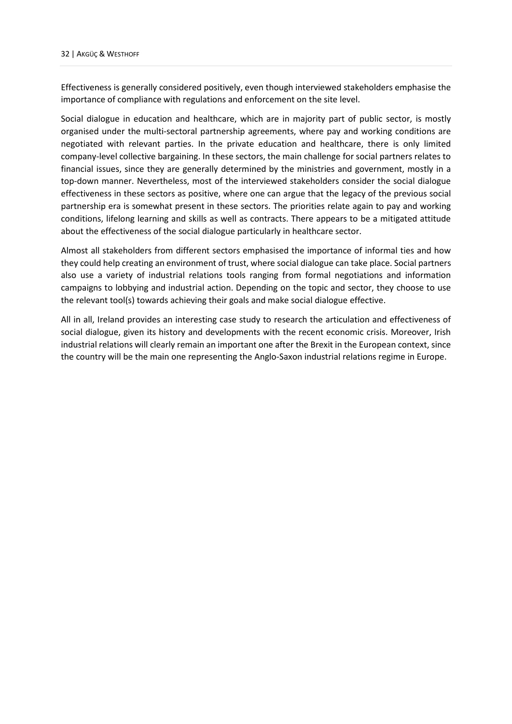Effectiveness is generally considered positively, even though interviewed stakeholders emphasise the importance of compliance with regulations and enforcement on the site level.

Social dialogue in education and healthcare, which are in majority part of public sector, is mostly organised under the multi-sectoral partnership agreements, where pay and working conditions are negotiated with relevant parties. In the private education and healthcare, there is only limited company-level collective bargaining. In these sectors, the main challenge for social partners relates to financial issues, since they are generally determined by the ministries and government, mostly in a top-down manner. Nevertheless, most of the interviewed stakeholders consider the social dialogue effectiveness in these sectors as positive, where one can argue that the legacy of the previous social partnership era is somewhat present in these sectors. The priorities relate again to pay and working conditions, lifelong learning and skills as well as contracts. There appears to be a mitigated attitude about the effectiveness of the social dialogue particularly in healthcare sector.

Almost all stakeholders from different sectors emphasised the importance of informal ties and how they could help creating an environment of trust, where social dialogue can take place. Social partners also use a variety of industrial relations tools ranging from formal negotiations and information campaigns to lobbying and industrial action. Depending on the topic and sector, they choose to use the relevant tool(s) towards achieving their goals and make social dialogue effective.

All in all, Ireland provides an interesting case study to research the articulation and effectiveness of social dialogue, given its history and developments with the recent economic crisis. Moreover, Irish industrial relations will clearly remain an important one after the Brexit in the European context, since the country will be the main one representing the Anglo-Saxon industrial relations regime in Europe.